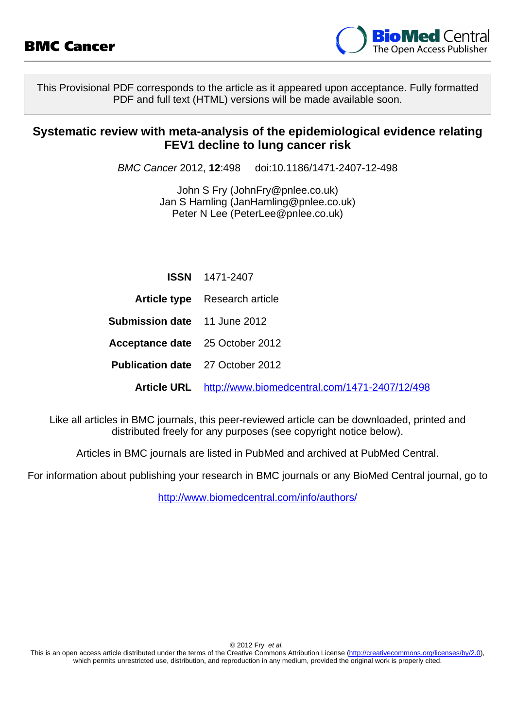

This Provisional PDF corresponds to the article as it appeared upon acceptance. Fully formatted PDF and full text (HTML) versions will be made available soon.

### **Systematic review with meta-analysis of the epidemiological evidence relating FEV1 decline to lung cancer risk**

BMC Cancer 2012, **12**:498 doi:10.1186/1471-2407-12-498

John S Fry ([JohnFry@pnlee.co.uk\)](mailto:JohnFry@pnlee.co.uk) Jan S Hamling ([JanHamling@pnlee.co.uk\)](mailto:JanHamling@pnlee.co.uk) Peter N Lee [\(PeterLee@pnlee.co.uk](mailto:PeterLee@pnlee.co.uk))

|                                         | <b>ISSN</b> 1471-2407                                     |
|-----------------------------------------|-----------------------------------------------------------|
|                                         | <b>Article type</b> Research article                      |
| <b>Submission date</b> 11 June 2012     |                                                           |
| <b>Acceptance date</b> 25 October 2012  |                                                           |
| <b>Publication date</b> 27 October 2012 |                                                           |
|                                         | Article URL http://www.biomedcentral.com/1471-2407/12/498 |

Like all articles in BMC journals, this peer-reviewed article can be downloaded, printed and distributed freely for any purposes (see copyright notice below).

Articles in BMC journals are listed in PubMed and archived at PubMed Central.

For information about publishing your research in BMC journals or any BioMed Central journal, go to

<http://www.biomedcentral.com/info/authors/>

© 2012 Fry et al.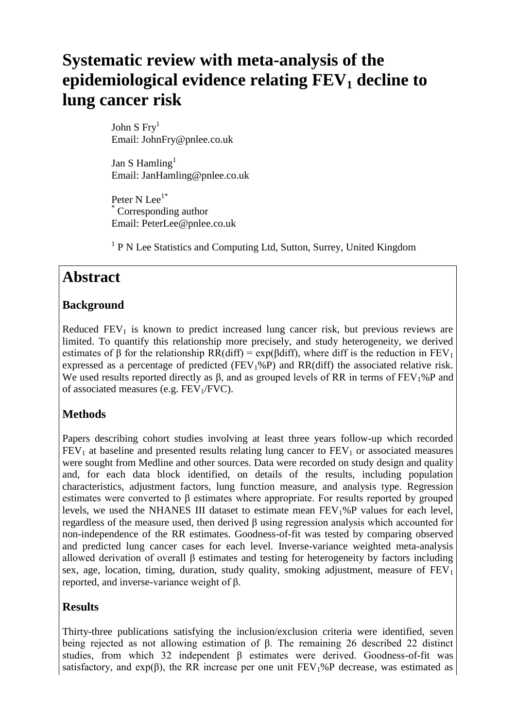# **Systematic review with meta-analysis of the epidemiological evidence relating FEV<sup>1</sup> decline to lung cancer risk**

John S $Fry<sup>1</sup>$ Email: JohnFry@pnlee.co.uk

Jan S Hamling $<sup>1</sup>$ </sup> Email: JanHamling@pnlee.co.uk

Peter N Lee<sup>1\*</sup> Corresponding author Email: PeterLee@pnlee.co.uk

<sup>1</sup> P N Lee Statistics and Computing Ltd, Sutton, Surrey, United Kingdom

### **Abstract**

### **Background**

Reduced  $FEV<sub>1</sub>$  is known to predict increased lung cancer risk, but previous reviews are limited. To quantify this relationship more precisely, and study heterogeneity, we derived estimates of  $\beta$  for the relationship RR(diff) = exp( $\beta$ diff), where diff is the reduction in FEV<sub>1</sub> expressed as a percentage of predicted ( $FEV<sub>1</sub>%P$ ) and  $RR(diff)$  the associated relative risk. We used results reported directly as  $\beta$ , and as grouped levels of RR in terms of FEV<sub>1</sub>%P and of associated measures (e.g.  $FEV<sub>1</sub>/FVC$ ).

### **Methods**

Papers describing cohort studies involving at least three years follow-up which recorded  $FEV<sub>1</sub>$  at baseline and presented results relating lung cancer to  $FEV<sub>1</sub>$  or associated measures were sought from Medline and other sources. Data were recorded on study design and quality and, for each data block identified, on details of the results, including population characteristics, adjustment factors, lung function measure, and analysis type. Regression estimates were converted to β estimates where appropriate. For results reported by grouped levels, we used the NHANES III dataset to estimate mean FEV1%P values for each level, regardless of the measure used, then derived β using regression analysis which accounted for non-independence of the RR estimates. Goodness-of-fit was tested by comparing observed and predicted lung cancer cases for each level. Inverse-variance weighted meta-analysis allowed derivation of overall β estimates and testing for heterogeneity by factors including sex, age, location, timing, duration, study quality, smoking adjustment, measure of  $FEV<sub>1</sub>$ reported, and inverse-variance weight of β.

### **Results**

Thirty-three publications satisfying the inclusion/exclusion criteria were identified, seven being rejected as not allowing estimation of β. The remaining 26 described 22 distinct studies, from which 32 independent  $\beta$  estimates were derived. Goodness-of-fit was satisfactory, and  $exp(\beta)$ , the RR increase per one unit FEV<sub>1</sub>%P decrease, was estimated as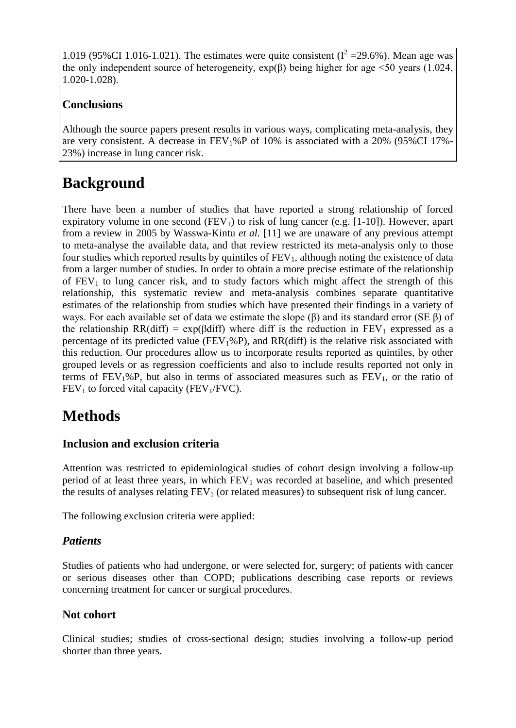1.019 (95%CI 1.016-1.021). The estimates were quite consistent ( $I^2 = 29.6$ %). Mean age was the only independent source of heterogeneity,  $exp(\beta)$  being higher for age <50 years (1.024, 1.020-1.028).

### **Conclusions**

Although the source papers present results in various ways, complicating meta-analysis, they are very consistent. A decrease in  $FEV<sub>1</sub>%P$  of 10% is associated with a 20% (95%CI 17%-23%) increase in lung cancer risk.

## **Background**

There have been a number of studies that have reported a strong relationship of forced expiratory volume in one second  $(FEV_1)$  to risk of lung cancer (e.g. [1-10]). However, apart from a review in 2005 by Wasswa-Kintu *et al.* [11] we are unaware of any previous attempt to meta-analyse the available data, and that review restricted its meta-analysis only to those four studies which reported results by quintiles of  $FEV<sub>1</sub>$ , although noting the existence of data from a larger number of studies. In order to obtain a more precise estimate of the relationship of  $FEV<sub>1</sub>$  to lung cancer risk, and to study factors which might affect the strength of this relationship, this systematic review and meta-analysis combines separate quantitative estimates of the relationship from studies which have presented their findings in a variety of ways. For each available set of data we estimate the slope (β) and its standard error (SE β) of the relationship RR(diff) = exp( $\beta$ diff) where diff is the reduction in FEV<sub>1</sub> expressed as a percentage of its predicted value ( $FEV<sub>1</sub>%P$ ), and  $RR(df)$  is the relative risk associated with this reduction. Our procedures allow us to incorporate results reported as quintiles, by other grouped levels or as regression coefficients and also to include results reported not only in terms of  $FEV_1\%P$ , but also in terms of associated measures such as  $FEV_1$ , or the ratio of  $FEV<sub>1</sub>$  to forced vital capacity ( $FEV<sub>1</sub>/FVC$ ).

## **Methods**

### **Inclusion and exclusion criteria**

Attention was restricted to epidemiological studies of cohort design involving a follow-up period of at least three years, in which  $FEV<sub>1</sub>$  was recorded at baseline, and which presented the results of analyses relating  $FEV<sub>1</sub>$  (or related measures) to subsequent risk of lung cancer.

The following exclusion criteria were applied:

### *Patients*

Studies of patients who had undergone, or were selected for, surgery; of patients with cancer or serious diseases other than COPD; publications describing case reports or reviews concerning treatment for cancer or surgical procedures.

### **Not cohort**

Clinical studies; studies of cross-sectional design; studies involving a follow-up period shorter than three years.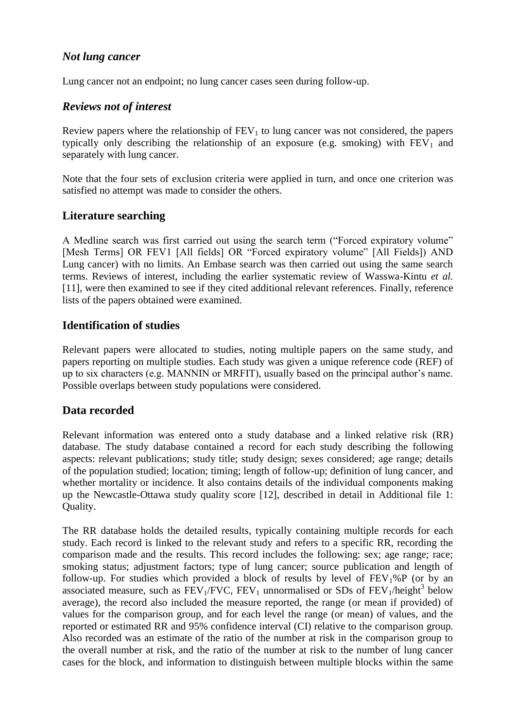### *Not lung cancer*

Lung cancer not an endpoint; no lung cancer cases seen during follow-up.

### *Reviews not of interest*

Review papers where the relationship of  $FEV<sub>1</sub>$  to lung cancer was not considered, the papers typically only describing the relationship of an exposure (e.g. smoking) with  $FEV<sub>1</sub>$  and separately with lung cancer.

Note that the four sets of exclusion criteria were applied in turn, and once one criterion was satisfied no attempt was made to consider the others.

### **Literature searching**

A Medline search was first carried out using the search term ("Forced expiratory volume" [Mesh Terms] OR FEV1 [All fields] OR "Forced expiratory volume" [All Fields]) AND Lung cancer) with no limits. An Embase search was then carried out using the same search terms. Reviews of interest, including the earlier systematic review of Wasswa-Kintu *et al.* [11], were then examined to see if they cited additional relevant references. Finally, reference lists of the papers obtained were examined.

### **Identification of studies**

Relevant papers were allocated to studies, noting multiple papers on the same study, and papers reporting on multiple studies. Each study was given a unique reference code (REF) of up to six characters (e.g. MANNIN or MRFIT), usually based on the principal author's name. Possible overlaps between study populations were considered.

### **Data recorded**

Relevant information was entered onto a study database and a linked relative risk (RR) database. The study database contained a record for each study describing the following aspects: relevant publications; study title; study design; sexes considered; age range; details of the population studied; location; timing; length of follow-up; definition of lung cancer, and whether mortality or incidence. It also contains details of the individual components making up the Newcastle-Ottawa study quality score [12], described in detail in Additional file 1: Quality.

The RR database holds the detailed results, typically containing multiple records for each study. Each record is linked to the relevant study and refers to a specific RR, recording the comparison made and the results. This record includes the following: sex; age range; race; smoking status; adjustment factors; type of lung cancer; source publication and length of follow-up. For studies which provided a block of results by level of  $FEV<sub>1</sub>%P$  (or by an associated measure, such as  $\overline{FEV_1/FVC}$ ,  $\overline{FEV_1}$  unnormalised or SDs of  $\overline{FEV_1/h}$ eight<sup>3</sup> below average), the record also included the measure reported, the range (or mean if provided) of values for the comparison group, and for each level the range (or mean) of values, and the reported or estimated RR and 95% confidence interval (CI) relative to the comparison group. Also recorded was an estimate of the ratio of the number at risk in the comparison group to the overall number at risk, and the ratio of the number at risk to the number of lung cancer cases for the block, and information to distinguish between multiple blocks within the same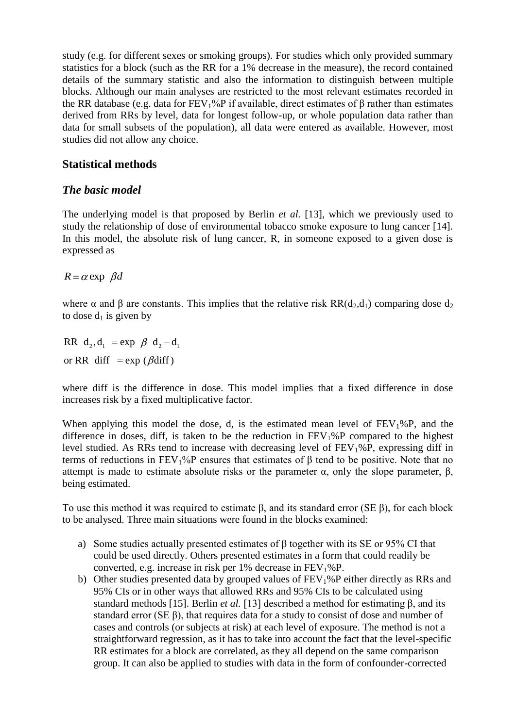study (e.g. for different sexes or smoking groups). For studies which only provided summary statistics for a block (such as the RR for a 1% decrease in the measure), the record contained details of the summary statistic and also the information to distinguish between multiple blocks. Although our main analyses are restricted to the most relevant estimates recorded in the RR database (e.g. data for FEV1%P if available, direct estimates of β rather than estimates derived from RRs by level, data for longest follow-up, or whole population data rather than data for small subsets of the population), all data were entered as available. However, most studies did not allow any choice.

### **Statistical methods**

### *The basic model*

The underlying model is that proposed by Berlin *et al.* [13], which we previously used to study the relationship of dose of environmental tobacco smoke exposure to lung cancer [14]. In this model, the absolute risk of lung cancer, R, in someone exposed to a given dose is expressed as

 $R = \alpha$  exp  $\beta d$ 

where  $\alpha$  and  $\beta$  are constants. This implies that the relative risk RR(d<sub>2</sub>,d<sub>1</sub>) comparing dose d<sub>2</sub> to dose  $d_1$  is given by

RR  $d_2$ ,  $d_1$  = exp  $\beta$   $d_2$  -  $d_1$ or RR diff  $= \exp (\beta \text{diff})$ 

where diff is the difference in dose. This model implies that a fixed difference in dose increases risk by a fixed multiplicative factor.

When applying this model the dose, d, is the estimated mean level of  $FEV<sub>1</sub>%P$ , and the difference in doses, diff, is taken to be the reduction in  $FEV<sub>1</sub>%P$  compared to the highest level studied. As RRs tend to increase with decreasing level of  $FEV<sub>1</sub>%P$ , expressing diff in terms of reductions in  $FEV_1\%P$  ensures that estimates of  $\beta$  tend to be positive. Note that no attempt is made to estimate absolute risks or the parameter  $α$ , only the slope parameter,  $β$ , being estimated.

To use this method it was required to estimate β, and its standard error (SE β), for each block to be analysed. Three main situations were found in the blocks examined:

- a) Some studies actually presented estimates of β together with its SE or 95% CI that could be used directly. Others presented estimates in a form that could readily be converted, e.g. increase in risk per  $1\%$  decrease in  $FEV<sub>1</sub>%P$ .
- b) Other studies presented data by grouped values of  $FEV<sub>1</sub>%P$  either directly as RRs and 95% CIs or in other ways that allowed RRs and 95% CIs to be calculated using standard methods [15]. Berlin *et al.* [13] described a method for estimating β, and its standard error (SE β), that requires data for a study to consist of dose and number of cases and controls (or subjects at risk) at each level of exposure. The method is not a straightforward regression, as it has to take into account the fact that the level-specific RR estimates for a block are correlated, as they all depend on the same comparison group. It can also be applied to studies with data in the form of confounder-corrected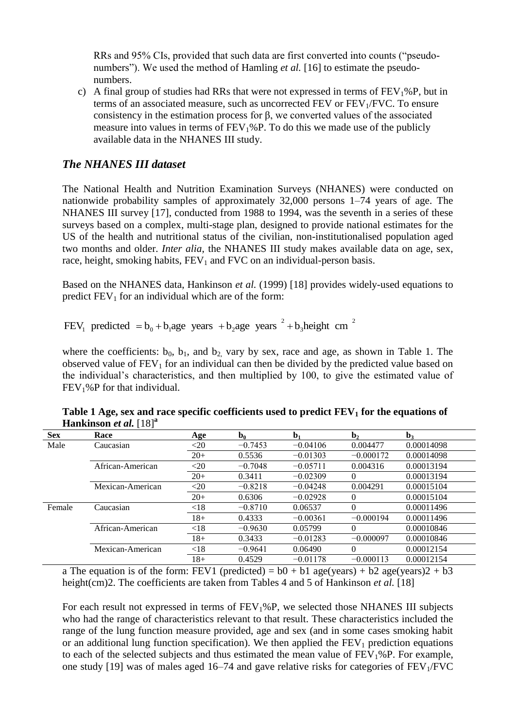RRs and 95% CIs, provided that such data are first converted into counts ("pseudonumbers"). We used the method of Hamling *et al.* [16] to estimate the pseudonumbers.

c) A final group of studies had RRs that were not expressed in terms of  $FEV<sub>1</sub>%P$ , but in terms of an associated measure, such as uncorrected FEV or  $FEV<sub>1</sub>/FVC$ . To ensure consistency in the estimation process for β, we converted values of the associated measure into values in terms of  $FEV<sub>1</sub>%P$ . To do this we made use of the publicly available data in the NHANES III study.

### *The NHANES III dataset*

The National Health and Nutrition Examination Surveys (NHANES) were conducted on nationwide probability samples of approximately 32,000 persons 1–74 years of age. The NHANES III survey [17], conducted from 1988 to 1994, was the seventh in a series of these surveys based on a complex, multi-stage plan, designed to provide national estimates for the US of the health and nutritional status of the civilian, non-institutionalised population aged two months and older. *Inter alia*, the NHANES III study makes available data on age, sex, race, height, smoking habits,  $FEV<sub>1</sub>$  and  $FVC$  on an individual-person basis.

Based on the NHANES data, Hankinson *et al.* (1999) [18] provides widely-used equations to predict  $FEV<sub>1</sub>$  for an individual which are of the form:

FEV, predicted  $= b_0 + b_1$  age years  $+ b_2$  age years  $a^2 + b_3$  height cm  $a^2$ 

where the coefficients:  $b_0$ ,  $b_1$ , and  $b_2$  vary by sex, race and age, as shown in Table 1. The observed value of  $FEV<sub>1</sub>$  for an individual can then be divided by the predicted value based on the individual's characteristics, and then multiplied by 100, to give the estimated value of  $FEV<sub>1</sub>%P$  for that individual.

| <b>Sex</b> | Race             | Age    | $\mathbf{b}_0$ | b <sub>1</sub> | $\mathbf{b}_2$ | $\mathbf{b}_3$ |
|------------|------------------|--------|----------------|----------------|----------------|----------------|
| Male       | Caucasian        | $<$ 20 | $-0.7453$      | $-0.04106$     | 0.004477       | 0.00014098     |
|            |                  | $20+$  | 0.5536         | $-0.01303$     | $-0.000172$    | 0.00014098     |
|            | African-American | $<$ 20 | $-0.7048$      | $-0.05711$     | 0.004316       | 0.00013194     |
|            |                  | $20+$  | 0.3411         | $-0.02309$     | $\Omega$       | 0.00013194     |
|            | Mexican-American | $<$ 20 | $-0.8218$      | $-0.04248$     | 0.004291       | 0.00015104     |
|            |                  | $20+$  | 0.6306         | $-0.02928$     | $\theta$       | 0.00015104     |
| Female     | Caucasian        | < 18   | $-0.8710$      | 0.06537        | $\Omega$       | 0.00011496     |
|            |                  | $18+$  | 0.4333         | $-0.00361$     | $-0.000194$    | 0.00011496     |
|            | African-American | < 18   | $-0.9630$      | 0.05799        | $\Omega$       | 0.00010846     |
|            |                  | $18+$  | 0.3433         | $-0.01283$     | $-0.000097$    | 0.00010846     |
|            | Mexican-American | < 18   | $-0.9641$      | 0.06490        | 0              | 0.00012154     |
|            |                  | $18+$  | 0.4529         | $-0.01178$     | $-0.000113$    | 0.00012154     |

**Table 1 Age, sex and race specific coefficients used to predict FEV<sup>1</sup> for the equations of Hankinson** *et al.*  $[18]$ <sup>a</sup>

a The equation is of the form: FEV1 (predicted) =  $b0 + b1$  age(years) +  $b2$  age(years)2 +  $b3$ height(cm)2. The coefficients are taken from Tables 4 and 5 of Hankinson *et al.* [18]

For each result not expressed in terms of  $FEV<sub>1</sub>%P$ , we selected those NHANES III subjects who had the range of characteristics relevant to that result. These characteristics included the range of the lung function measure provided, age and sex (and in some cases smoking habit or an additional lung function specification). We then applied the  $FEV<sub>1</sub>$  prediction equations to each of the selected subjects and thus estimated the mean value of  $FEV<sub>1</sub>%P$ . For example, one study [19] was of males aged 16–74 and gave relative risks for categories of  $FEV<sub>1</sub>/FVC$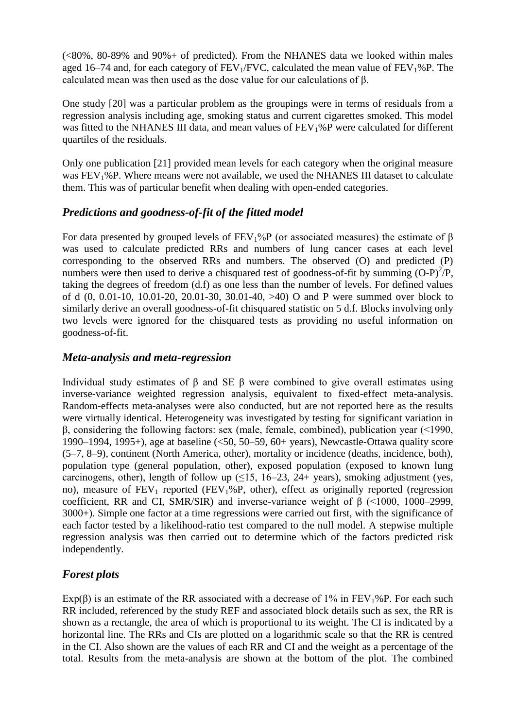$(\leq 80\%$ , 80-89% and 90% + of predicted). From the NHANES data we looked within males aged 16–74 and, for each category of  $FEV_1/FVC$ , calculated the mean value of  $FEV_1\%P$ . The calculated mean was then used as the dose value for our calculations of β.

One study [20] was a particular problem as the groupings were in terms of residuals from a regression analysis including age, smoking status and current cigarettes smoked. This model was fitted to the NHANES III data, and mean values of FEV<sub>1</sub>%P were calculated for different quartiles of the residuals.

Only one publication [21] provided mean levels for each category when the original measure was FEV1%P. Where means were not available, we used the NHANES III dataset to calculate them. This was of particular benefit when dealing with open-ended categories.

### *Predictions and goodness-of-fit of the fitted model*

For data presented by grouped levels of  $FEV<sub>1</sub>$ %P (or associated measures) the estimate of  $\beta$ was used to calculate predicted RRs and numbers of lung cancer cases at each level corresponding to the observed RRs and numbers. The observed (O) and predicted (P) numbers were then used to derive a chisquared test of goodness-of-fit by summing  $(O-P)^2/P$ , taking the degrees of freedom (d.f) as one less than the number of levels. For defined values of d (0, 0.01-10, 10.01-20, 20.01-30, 30.01-40, >40) O and P were summed over block to similarly derive an overall goodness-of-fit chisquared statistic on 5 d.f. Blocks involving only two levels were ignored for the chisquared tests as providing no useful information on goodness-of-fit.

### *Meta-analysis and meta-regression*

Individual study estimates of β and SE β were combined to give overall estimates using inverse-variance weighted regression analysis, equivalent to fixed-effect meta-analysis. Random-effects meta-analyses were also conducted, but are not reported here as the results were virtually identical. Heterogeneity was investigated by testing for significant variation in β, considering the following factors: sex (male, female, combined), publication year (<1990, 1990–1994, 1995+), age at baseline  $(50, 50-59, 60+ \text{ years})$ , Newcastle-Ottawa quality score (5–7, 8–9), continent (North America, other), mortality or incidence (deaths, incidence, both), population type (general population, other), exposed population (exposed to known lung carcinogens, other), length of follow up  $(\leq 15, 16-23, 24+$  years), smoking adjustment (yes, no), measure of  $FEV_1$  reported ( $FEV_1\%P$ , other), effect as originally reported (regression coefficient, RR and CI, SMR/SIR) and inverse-variance weight of β (<1000, 1000–2999, 3000+). Simple one factor at a time regressions were carried out first, with the significance of each factor tested by a likelihood-ratio test compared to the null model. A stepwise multiple regression analysis was then carried out to determine which of the factors predicted risk independently.

### *Forest plots*

Exp( $\beta$ ) is an estimate of the RR associated with a decrease of 1% in FEV<sub>1</sub>%P. For each such RR included, referenced by the study REF and associated block details such as sex, the RR is shown as a rectangle, the area of which is proportional to its weight. The CI is indicated by a horizontal line. The RRs and CIs are plotted on a logarithmic scale so that the RR is centred in the CI. Also shown are the values of each RR and CI and the weight as a percentage of the total. Results from the meta-analysis are shown at the bottom of the plot. The combined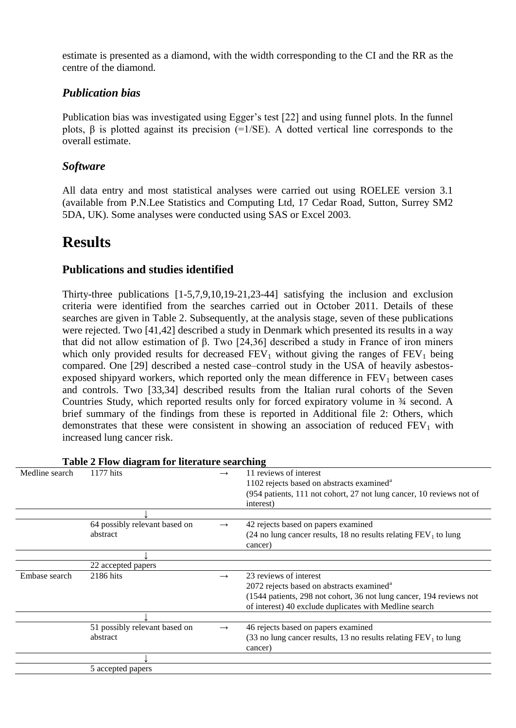estimate is presented as a diamond, with the width corresponding to the CI and the RR as the centre of the diamond.

### *Publication bias*

Publication bias was investigated using Egger's test [22] and using funnel plots. In the funnel plots,  $\beta$  is plotted against its precision (=1/SE). A dotted vertical line corresponds to the overall estimate.

### *Software*

All data entry and most statistical analyses were carried out using ROELEE version 3.1 (available from P.N.Lee Statistics and Computing Ltd, 17 Cedar Road, Sutton, Surrey SM2 5DA, UK). Some analyses were conducted using SAS or Excel 2003.

### **Results**

### **Publications and studies identified**

Thirty-three publications [1-5,7,9,10,19-21,23-44] satisfying the inclusion and exclusion criteria were identified from the searches carried out in October 2011. Details of these searches are given in Table 2. Subsequently, at the analysis stage, seven of these publications were rejected. Two [41,42] described a study in Denmark which presented its results in a way that did not allow estimation of β. Two [24,36] described a study in France of iron miners which only provided results for decreased  $FEV_1$  without giving the ranges of  $FEV_1$  being compared. One [29] described a nested case–control study in the USA of heavily asbestosexposed shipyard workers, which reported only the mean difference in  $FEV<sub>1</sub>$  between cases and controls. Two [33,34] described results from the Italian rural cohorts of the Seven Countries Study, which reported results only for forced expiratory volume in ¾ second. A brief summary of the findings from these is reported in Additional file 2: Others, which demonstrates that these were consistent in showing an association of reduced  $FEV<sub>1</sub>$  with increased lung cancer risk.

| 1177 hits<br>11 reviews of interest<br>Medline search<br>1102 rejects based on abstracts examined <sup>a</sup><br>(954 patients, 111 not cohort, 27 not lung cancer, 10 reviews not of<br>interest)<br>64 possibly relevant based on<br>42 rejects based on papers examined<br>$\rightarrow$<br>abstract<br>(24 no lung cancer results, 18 no results relating $FEV_1$ to lung<br>cancer)<br>22 accepted papers<br>23 reviews of interest<br>2186 hits<br>Embase search<br>$\rightarrow$<br>2072 rejects based on abstracts examined <sup>a</sup><br>(1544 patients, 298 not cohort, 36 not lung cancer, 194 reviews not<br>of interest) 40 exclude duplicates with Medline search<br>51 possibly relevant based on<br>46 rejects based on papers examined<br>$\rightarrow$<br>abstract<br>(33 no lung cancer results, 13 no results relating $FEV_1$ to lung<br>cancer)<br>5 accepted papers | Table 2 Flow diagram for literature searching |  |
|-----------------------------------------------------------------------------------------------------------------------------------------------------------------------------------------------------------------------------------------------------------------------------------------------------------------------------------------------------------------------------------------------------------------------------------------------------------------------------------------------------------------------------------------------------------------------------------------------------------------------------------------------------------------------------------------------------------------------------------------------------------------------------------------------------------------------------------------------------------------------------------------------|-----------------------------------------------|--|
|                                                                                                                                                                                                                                                                                                                                                                                                                                                                                                                                                                                                                                                                                                                                                                                                                                                                                               |                                               |  |
|                                                                                                                                                                                                                                                                                                                                                                                                                                                                                                                                                                                                                                                                                                                                                                                                                                                                                               |                                               |  |
|                                                                                                                                                                                                                                                                                                                                                                                                                                                                                                                                                                                                                                                                                                                                                                                                                                                                                               |                                               |  |
|                                                                                                                                                                                                                                                                                                                                                                                                                                                                                                                                                                                                                                                                                                                                                                                                                                                                                               |                                               |  |
|                                                                                                                                                                                                                                                                                                                                                                                                                                                                                                                                                                                                                                                                                                                                                                                                                                                                                               |                                               |  |
|                                                                                                                                                                                                                                                                                                                                                                                                                                                                                                                                                                                                                                                                                                                                                                                                                                                                                               |                                               |  |
|                                                                                                                                                                                                                                                                                                                                                                                                                                                                                                                                                                                                                                                                                                                                                                                                                                                                                               |                                               |  |
|                                                                                                                                                                                                                                                                                                                                                                                                                                                                                                                                                                                                                                                                                                                                                                                                                                                                                               |                                               |  |
|                                                                                                                                                                                                                                                                                                                                                                                                                                                                                                                                                                                                                                                                                                                                                                                                                                                                                               |                                               |  |
|                                                                                                                                                                                                                                                                                                                                                                                                                                                                                                                                                                                                                                                                                                                                                                                                                                                                                               |                                               |  |
|                                                                                                                                                                                                                                                                                                                                                                                                                                                                                                                                                                                                                                                                                                                                                                                                                                                                                               |                                               |  |
|                                                                                                                                                                                                                                                                                                                                                                                                                                                                                                                                                                                                                                                                                                                                                                                                                                                                                               |                                               |  |
|                                                                                                                                                                                                                                                                                                                                                                                                                                                                                                                                                                                                                                                                                                                                                                                                                                                                                               |                                               |  |
|                                                                                                                                                                                                                                                                                                                                                                                                                                                                                                                                                                                                                                                                                                                                                                                                                                                                                               |                                               |  |
|                                                                                                                                                                                                                                                                                                                                                                                                                                                                                                                                                                                                                                                                                                                                                                                                                                                                                               |                                               |  |
|                                                                                                                                                                                                                                                                                                                                                                                                                                                                                                                                                                                                                                                                                                                                                                                                                                                                                               |                                               |  |

#### **Table 2 Flow diagram for literature searching**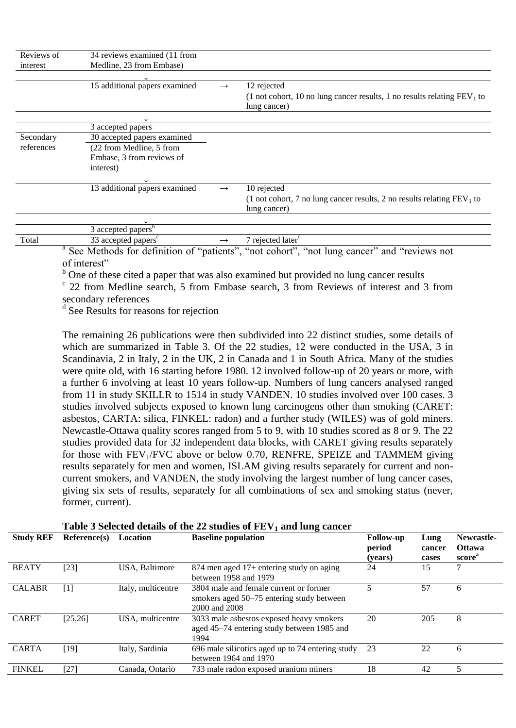| Reviews of             | 34 reviews examined (11 from    |               |                                                                                           |
|------------------------|---------------------------------|---------------|-------------------------------------------------------------------------------------------|
| interest               | Medline, 23 from Embase)        |               |                                                                                           |
|                        |                                 |               |                                                                                           |
|                        | 15 additional papers examined   | $\rightarrow$ | 12 rejected                                                                               |
|                        |                                 |               | (1 not cohort, 10 no lung cancer results, 1 no results relating $FEV1$ to<br>lung cancer) |
|                        |                                 |               |                                                                                           |
|                        | 3 accepted papers               |               |                                                                                           |
| Secondary              | 30 accepted papers examined     |               |                                                                                           |
| references             | (22 from Medline, 5 from        |               |                                                                                           |
|                        | Embase, 3 from reviews of       |               |                                                                                           |
|                        | interest)                       |               |                                                                                           |
|                        |                                 |               |                                                                                           |
|                        | 13 additional papers examined   | $\rightarrow$ | 10 rejected                                                                               |
|                        |                                 |               | (1 not cohort, 7 no lung cancer results, 2 no results relating $FEV1$ to<br>lung cancer)  |
|                        |                                 |               |                                                                                           |
|                        | 3 accepted papers <sup>b</sup>  |               |                                                                                           |
| Total<br>$\sim$ $\sim$ | 33 accepted papers <sup>c</sup> | $\rightarrow$ | 7 rejected later <sup>d</sup>                                                             |

<sup>a</sup> See Methods for definition of "patients", "not cohort", "not lung cancer" and "reviews not of interest"

<sup>b</sup> One of these cited a paper that was also examined but provided no lung cancer results

<sup>c</sup> 22 from Medline search, 5 from Embase search, 3 from Reviews of interest and 3 from secondary references

d See Results for reasons for rejection

The remaining 26 publications were then subdivided into 22 distinct studies, some details of which are summarized in Table 3. Of the 22 studies, 12 were conducted in the USA, 3 in Scandinavia, 2 in Italy, 2 in the UK, 2 in Canada and 1 in South Africa. Many of the studies were quite old, with 16 starting before 1980. 12 involved follow-up of 20 years or more, with a further 6 involving at least 10 years follow-up. Numbers of lung cancers analysed ranged from 11 in study SKILLR to 1514 in study VANDEN. 10 studies involved over 100 cases. 3 studies involved subjects exposed to known lung carcinogens other than smoking (CARET: asbestos, CARTA: silica, FINKEL: radon) and a further study (WILES) was of gold miners. Newcastle-Ottawa quality scores ranged from 5 to 9, with 10 studies scored as 8 or 9. The 22 studies provided data for 32 independent data blocks, with CARET giving results separately for those with  $FEV<sub>1</sub>/FVC$  above or below 0.70, RENFRE, SPEIZE and TAMMEM giving results separately for men and women, ISLAM giving results separately for current and noncurrent smokers, and VANDEN, the study involving the largest number of lung cancer cases, giving six sets of results, separately for all combinations of sex and smoking status (never, former, current).

| <b>Study REF</b> | Reference(s)                                                                                                                                                                            | Location           | <b>Baseline population</b>                                                                           | <b>Follow-up</b><br>period<br>(years) | Lung<br>cancer<br>cases | Newcastle-<br><b>Ottawa</b><br>score <sup>"</sup> |
|------------------|-----------------------------------------------------------------------------------------------------------------------------------------------------------------------------------------|--------------------|------------------------------------------------------------------------------------------------------|---------------------------------------|-------------------------|---------------------------------------------------|
| <b>BEATY</b>     | [23]                                                                                                                                                                                    | USA, Baltimore     | 874 men aged 17+ entering study on aging<br>between 1958 and 1979                                    | 24                                    | 15                      | 7                                                 |
| <b>CALABR</b>    | $[1] % \centering \includegraphics[width=0.9\columnwidth]{figures/fig_10.pdf} \caption{The figure shows the number of times of the estimators in the left and right.} \label{fig:time}$ | Italy, multicentre | 3804 male and female current or former<br>smokers aged 50–75 entering study between<br>2000 and 2008 |                                       | 57                      | 6                                                 |
| <b>CARET</b>     | [25, 26]                                                                                                                                                                                | USA, multicentre   | 3033 male asbestos exposed heavy smokers<br>aged 45–74 entering study between 1985 and<br>1994       | 20                                    | 205                     | 8                                                 |
| <b>CARTA</b>     | [19]                                                                                                                                                                                    | Italy, Sardinia    | 696 male silicotics aged up to 74 entering study<br>between 1964 and 1970                            | 23                                    | 22                      | 6                                                 |
| <b>FINKEL</b>    | [27]                                                                                                                                                                                    | Canada, Ontario    | 733 male radon exposed uranium miners                                                                | 18                                    | 42                      |                                                   |

#### **Table 3 Selected details of the 22 studies of FEV<sup>1</sup> and lung cancer**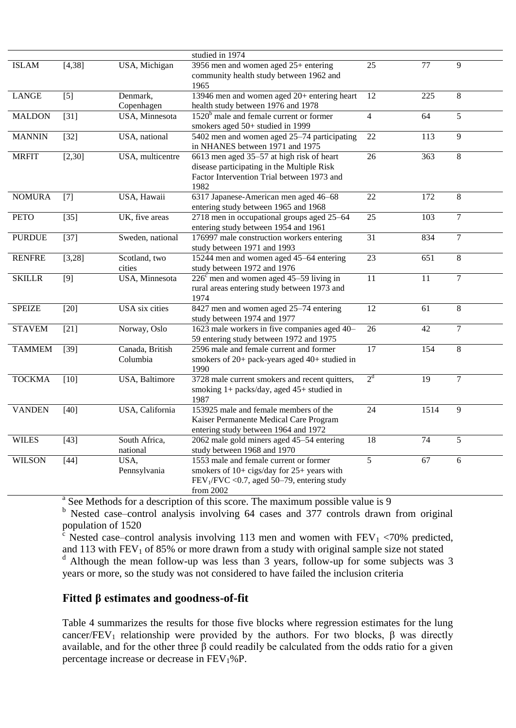|               |                   |                        | studied in 1974                                                          |                         |                  |                |
|---------------|-------------------|------------------------|--------------------------------------------------------------------------|-------------------------|------------------|----------------|
| <b>ISLAM</b>  | [4, 38]           | USA, Michigan          | 3956 men and women aged $25+$ entering                                   | 25                      | 77               | 9              |
|               |                   |                        | community health study between 1962 and                                  |                         |                  |                |
|               |                   |                        | 1965                                                                     |                         |                  |                |
| <b>LANGE</b>  | $\overline{[5]}$  | Denmark,               | 13946 men and women aged 20+ entering heart                              | $\overline{12}$         | $\overline{225}$ | 8              |
|               |                   | Copenhagen             | health study between 1976 and 1978                                       |                         |                  |                |
| <b>MALDON</b> | $[31]$            | USA, Minnesota         | $1520b$ male and female current or former                                | $\overline{\mathbf{4}}$ | 64               | 5              |
|               |                   |                        | smokers aged 50+ studied in 1999                                         |                         |                  |                |
| <b>MANNIN</b> | $[32]$            | USA, national          | 5402 men and women aged 25–74 participating                              | 22                      | 113              | 9              |
|               |                   |                        | in NHANES between 1971 and 1975                                          |                         |                  |                |
| <b>MRFIT</b>  | [2,30]            | USA, multicentre       | 6613 men aged 35-57 at high risk of heart                                | 26                      | $\overline{363}$ | $8\,$          |
|               |                   |                        | disease participating in the Multiple Risk                               |                         |                  |                |
|               |                   |                        | Factor Intervention Trial between 1973 and                               |                         |                  |                |
|               |                   |                        | 1982                                                                     |                         |                  |                |
| <b>NOMURA</b> | $[7]$             | USA, Hawaii            | 6317 Japanese-American men aged 46-68                                    | $\overline{22}$         | $\overline{172}$ | $8\,$          |
|               |                   |                        | entering study between 1965 and 1968                                     |                         |                  |                |
| <b>PETO</b>   | $[35]$            | UK, five areas         | 2718 men in occupational groups aged 25-64                               | 25                      | 103              | $\overline{7}$ |
|               |                   |                        | entering study between 1954 and 1961                                     |                         |                  |                |
| <b>PURDUE</b> | $[37]$            | Sweden, national       | 176997 male construction workers entering                                | $\overline{31}$         | 834              | $\overline{7}$ |
|               |                   |                        | study between 1971 and 1993                                              |                         |                  |                |
| <b>RENFRE</b> | [3,28]            | Scotland, two          | 15244 men and women aged 45-64 entering                                  | $\overline{23}$         | $\overline{651}$ | $\overline{8}$ |
|               |                   | cities                 | study between 1972 and 1976                                              |                         |                  |                |
| <b>SKILLR</b> | $[9]$             | USA, Minnesota         | $226c$ men and women aged 45–59 living in                                | 11                      | $\overline{11}$  | 7              |
|               |                   |                        | rural areas entering study between 1973 and                              |                         |                  |                |
|               |                   |                        | 1974                                                                     |                         |                  |                |
| <b>SPEIZE</b> | $[20]$            | USA six cities         | 8427 men and women aged 25-74 entering                                   | 12                      | 61               | $8\,$          |
|               |                   |                        | study between 1974 and 1977                                              |                         |                  |                |
| <b>STAVEM</b> | $\overline{[}21]$ | Norway, Oslo           | 1623 male workers in five companies aged 40-                             | $\overline{26}$         | 42               | $\overline{7}$ |
|               |                   |                        | 59 entering study between 1972 and 1975                                  |                         |                  |                |
| <b>TAMMEM</b> | $[39]$            | Canada, British        | 2596 male and female current and former                                  | $\overline{17}$         | 154              | 8              |
|               |                   | Columbia               | smokers of 20+ pack-years aged 40+ studied in                            |                         |                  |                |
|               |                   |                        | 1990                                                                     | 2 <sup>d</sup>          |                  |                |
| <b>TOCKMA</b> | $[10]$            | <b>USA</b> , Baltimore | 3728 male current smokers and recent quitters,                           |                         | $\overline{19}$  | $\tau$         |
|               |                   |                        | smoking $1+$ packs/day, aged $45+$ studied in                            |                         |                  |                |
|               |                   |                        | 1987                                                                     |                         |                  |                |
| <b>VANDEN</b> | $[40]$            | USA, California        | 153925 male and female members of the                                    | 24                      | 1514             | 9              |
|               |                   |                        | Kaiser Permanente Medical Care Program                                   |                         |                  |                |
| <b>WILES</b>  | $[43]$            | South Africa,          | entering study between 1964 and 1972                                     | $\overline{18}$         | 74               | 5              |
|               |                   |                        | 2062 male gold miners aged 45-54 entering<br>study between 1968 and 1970 |                         |                  |                |
|               |                   | national               |                                                                          | $\overline{5}$          | $\overline{67}$  |                |
| <b>WILSON</b> | $[44]$            | USA,                   | 1553 male and female current or former                                   |                         |                  | 6              |
|               |                   | Pennsylvania           | smokers of $10+$ cigs/day for $25+$ years with                           |                         |                  |                |
|               |                   |                        | $FEV1/FVC < 0.7$ , aged 50–79, entering study                            |                         |                  |                |
|               |                   |                        | from 2002                                                                |                         |                  |                |

from 2002<br>
<sup>a</sup> See Methods for a description of this score. The maximum possible value is 9

 $<sup>b</sup>$  Nested case–control analysis involving 64 cases and 377 controls drawn from original</sup> population of 1520

 $\frac{c}{c}$  Nested case–control analysis involving 113 men and women with FEV<sub>1</sub> <70% predicted, and 113 with  $FEV_1$  of 85% or more drawn from a study with original sample size not stated <sup>d</sup> Although the mean follow-up was less than 3 years, follow-up for some subjects was 3

years or more, so the study was not considered to have failed the inclusion criteria

#### **Fitted β estimates and goodness-of-fit**

Table 4 summarizes the results for those five blocks where regression estimates for the lung cancer/FEV<sub>1</sub> relationship were provided by the authors. For two blocks,  $\beta$  was directly available, and for the other three β could readily be calculated from the odds ratio for a given percentage increase or decrease in FEV1%P.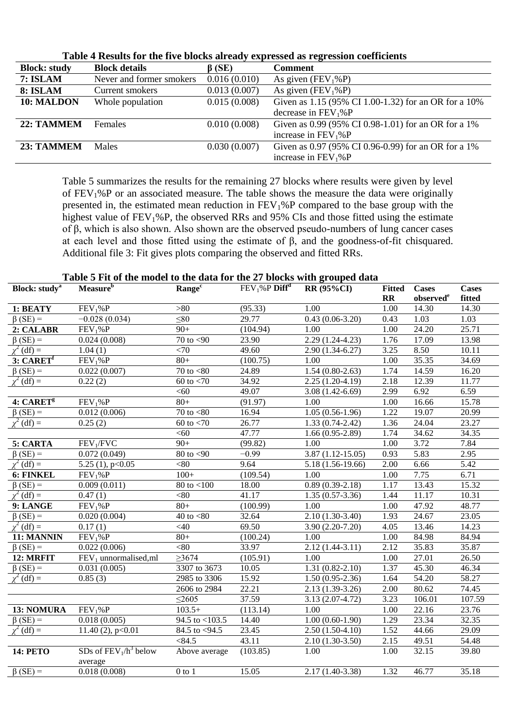| <b>Block: study</b> | <b>Block details</b>     | $\beta$ (SE) | <b>Comment</b>                                       |
|---------------------|--------------------------|--------------|------------------------------------------------------|
| 7: ISLAM            | Never and former smokers | 0.016(0.010) | As given $(FEV_1\%P)$                                |
| 8: ISLAM            | Current smokers          | 0.013(0.007) | As given $(FEV_1\%P)$                                |
| 10: MALDON          | Whole population         | 0.015(0.008) | Given as 1.15 (95% CI 1.00-1.32) for an OR for a 10% |
|                     |                          |              | decrease in $FEV1%P$                                 |
| 22: TAMMEM          | <b>Females</b>           | 0.010(0.008) | Given as 0.99 (95% CI 0.98-1.01) for an OR for a 1%  |
|                     |                          |              | increase in $FEV1%P$                                 |
| 23: TAMMEM          | <b>Males</b>             | 0.030(0.007) | Given as 0.97 (95% CI 0.96-0.99) for an OR for a 1%  |
|                     |                          |              | increase in $FEV1%P$                                 |

**Table 4 Results for the five blocks already expressed as regression coefficients**

Table 5 summarizes the results for the remaining 27 blocks where results were given by level of FEV1%P or an associated measure. The table shows the measure the data were originally presented in, the estimated mean reduction in  $FEV<sub>1</sub>%P$  compared to the base group with the highest value of  $FEV_1\%P$ , the observed RRs and 95% CIs and those fitted using the estimate of β, which is also shown. Also shown are the observed pseudo-numbers of lung cancer cases at each level and those fitted using the estimate of β, and the goodness-of-fit chisquared. Additional file 3: Fit gives plots comparing the observed and fitted RRs.

| Table 5 Fit of the model to the data for the 27 blocks with grouped data |  |  |  |
|--------------------------------------------------------------------------|--|--|--|
|--------------------------------------------------------------------------|--|--|--|

| <b>Block:</b> study <sup>a</sup> | Measure <sup>b</sup>     | Range <sup>c</sup>                 | $FEV1%P$ Diff <sup>d</sup> | <b>RR (95%CI)</b>    | <b>Fitted Cases</b> |                       | <b>Cases</b> |
|----------------------------------|--------------------------|------------------------------------|----------------------------|----------------------|---------------------|-----------------------|--------------|
|                                  |                          |                                    |                            |                      | $\mathbf{R}$        | observed <sup>e</sup> | fitted       |
| 1: BEATY                         | FEV <sub>1</sub> %P      | >80                                | (95.33)                    | 1.00                 | 1.00                | 14.30                 | 14.30        |
| $\beta$ (SE) =                   | $-0.028(0.034)$          | $\leq 80$                          | 29.77                      | $0.43(0.06-3.20)$    | 0.43                | 1.03                  | 1.03         |
| 2: CALABR                        | FEV <sub>1</sub> %P      | $90+$                              | (104.94)                   | 1.00                 | 1.00                | 24.20                 | 25.71        |
| $\beta$ (SE) =                   | 0.024(0.008)             | 70 to $<$ 90                       | 23.90                      | $2.29(1.24-4.23)$    | 1.76                | 17.09                 | 13.98        |
| $\chi^2$ (df) =                  | 1.04(1)                  | <70                                | 49.60                      | $2.90(1.34-6.27)$    | 3.25                | 8.50                  | 10.11        |
| $3: \overline{\mathbf{CART}^f}$  | FEV <sub>1</sub> %P      | $80+$                              | (100.75)                   | 1.00                 | 1.00                | 35.35                 | 34.69        |
| $\beta$ (SE) =                   | 0.022(0.007)             | 70 to $<$ 80                       | 24.89                      | $1.54(0.80-2.63)$    | 1.74                | 14.59                 | 16.20        |
| $\chi^2$ (df) =                  | 0.22(2)                  | 60 to $< 70$                       | 34.92                      | $2.25(1.20-4.19)$    | 2.18                | 12.39                 | 11.77        |
|                                  |                          | < 60                               | 49.07                      | $3.08(1.42-6.69)$    | 2.99                | 6.92                  | 6.59         |
| 4: CARET <sup>g</sup>            | FEV <sub>1</sub> %P      | $80+$                              | (91.97)                    | 1.00                 | 1.00                | 16.66                 | 15.78        |
| $\beta$ (SE) =                   | 0.012(0.006)             | $\overline{70}$ to $\overline{80}$ | 16.94                      | $1.05(0.56-1.96)$    | 1.22                | 19.07                 | 20.99        |
| $\chi^2$ (df) =                  | 0.25(2)                  | 60 to $< 70$                       | 26.77                      | $1.33(0.74-2.42)$    | 1.36                | 24.04                 | 23.27        |
|                                  |                          | < 60                               | 47.77                      | $1.66(0.95-2.89)$    | 1.74                | 34.62                 | 34.35        |
| 5: CARTA                         | FEV <sub>1</sub> /FVC    | $90+$                              | (99.82)                    | 1.00                 | 1.00                | 3.72                  | 7.84         |
| $\beta$ (SE) =                   | 0.072(0.049)             | $80$ to $<$ 90                     | $-0.99$                    | $3.87(1.12 - 15.05)$ | 0.93                | 5.83                  | 2.95         |
| $\chi^2$ (df) =                  | 5.25 (1), p<0.05         | < 80                               | 9.64                       | 5.18 (1.56-19.66)    | 2.00                | 6.66                  | 5.42         |
| 6: FINKEL                        | FEV <sub>1</sub> %P      | $100+$                             | (109.54)                   | 1.00                 | 1.00                | 7.75                  | 6.71         |
| $\beta$ (SE) =                   | 0.009(0.011)             | $80$ to $< 100$                    | 18.00                      | $0.89(0.39-2.18)$    | 1.17                | 13.43                 | 15.32        |
| $df =$                           | 0.47(1)                  | < 80                               | 41.17                      | $1.35(0.57-3.36)$    | 1.44                | 11.17                 | 10.31        |
| 9: LANGE                         | FEV <sub>1</sub> %P      | $80+$                              | (100.99)                   | 1.00                 | 1.00                | 47.92                 | 48.77        |
| $\beta$ (SE) =                   | 0.020(0.004)             | 40 to $< 80$                       | 32.64                      | $2.10(1.30-3.40)$    | 1.93                | 24.67                 | 23.05        |
| $\chi^2$ (df) =                  | 0.17(1)                  | <40                                | 69.50                      | $3.90(2.20-7.20)$    | 4.05                | 13.46                 | 14.23        |
| 11: MANNIN                       | FEV <sub>1</sub> %P      | $80+$                              | (100.24)                   | 1.00                 | 1.00                | 84.98                 | 84.94        |
| $\beta$ (SE) =                   | 0.022(0.006)             | <80                                | 33.97                      | $2.12(1.44-3.11)$    | 2.12                | 35.83                 | 35.87        |
| 12: MRFIT                        | $FEV1$ unnormalised, ml  | $\geq 3674$                        | (105.91)                   | 1.00                 | 1.00                | 27.01                 | 26.50        |
| $\beta$ (SE) =                   | 0.031(0.005)             | 3307 to 3673                       | 10.05                      | $1.31(0.82 - 2.10)$  | 1.37                | 45.30                 | 46.34        |
| $\chi^2$ (df) =                  | 0.85(3)                  | 2985 to 3306                       | 15.92                      | $1.50(0.95-2.36)$    | 1.64                | 54.20                 | 58.27        |
|                                  |                          | 2606 to 2984                       | 22.21                      | $2.13(1.39-3.26)$    | 2.00                | 80.62                 | 74.45        |
|                                  |                          | $\leq$ 2605                        | 37.59                      | $3.13(2.07-4.72)$    | 3.23                | 106.01                | 107.59       |
| 13: NOMURA                       | FEV <sub>1</sub> %P      | $103.5+$                           | (113.14)                   | 1.00                 | 1.00                | 22.16                 | 23.76        |
| $\beta$ (SE) =                   | 0.018(0.005)             | 94.5 to $<$ 103.5                  | 14.40                      | $1.00(0.60-1.90)$    | 1.29                | 23.34                 | 32.35        |
| $\chi^2$ (df) =                  | 11.40 $(2)$ , p<0.01     | 84.5 to <94.5                      | 23.45                      | $2.50(1.50-4.10)$    | 1.52                | 44.66                 | 29.09        |
|                                  |                          | < 84.5                             | 43.11                      | $2.10(1.30-3.50)$    | 2.15                | 49.51                 | 54.48        |
| <b>14: PETO</b>                  | SDs of $FEV_1/h^3$ below | Above average                      | (103.85)                   | 1.00                 | 1.00                | 32.15                 | 39.80        |
|                                  | average<br>0.018(0.008)  | $0$ to $1$                         |                            |                      |                     |                       |              |
| $\beta$ (SE) =                   |                          |                                    | 15.05                      | $2.17(1.40-3.38)$    | 1.32                | 46.77                 | 35.18        |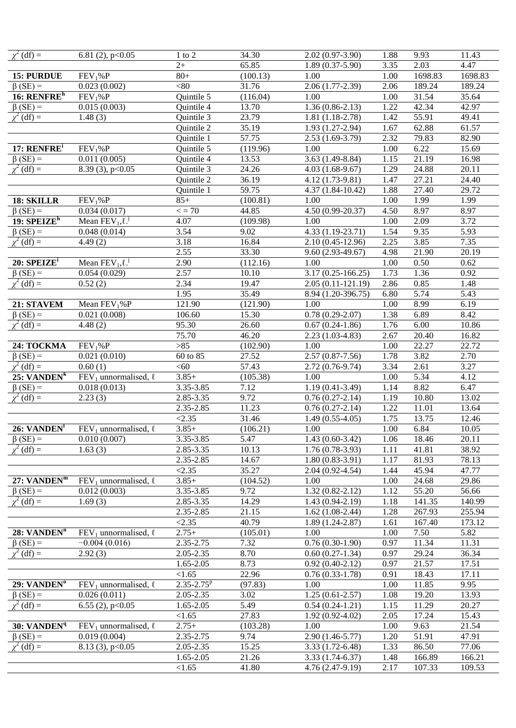| $\chi^2$ (df) =                             | 6.81 $(2)$ , p<0.05                                    | $1$ to $2$                     | 34.30          | $2.02(0.97-3.90)$     | 1.88 | 9.93    | 11.43              |
|---------------------------------------------|--------------------------------------------------------|--------------------------------|----------------|-----------------------|------|---------|--------------------|
|                                             |                                                        | $2+$                           | 65.85          | $1.89(0.37-5.90)$     | 3.35 | 2.03    | 4.47               |
| 15: PURDUE                                  | FEV <sub>1</sub> %P                                    | $80+$                          | (100.13)       | 1.00                  | 1.00 | 1698.83 | 1698.83            |
| $\beta$ (SE) =                              | 0.023(0.002)                                           | <80                            | 31.76          | $2.06(1.77-2.39)$     | 2.06 | 189.24  | 189.24             |
| 16: $RENFREh$                               | FEV <sub>1</sub> %P                                    | Quintile 5                     | (116.04)       | 1.00                  | 1.00 | 31.54   | 35.64              |
| $\beta$ (SE) =                              | 0.015(0.003)                                           | Quintile 4                     | 13.70          | $1.36(0.86-2.13)$     | 1.22 | 42.34   | 42.97              |
| $\chi^2$ (df) =                             | 1.48(3)                                                | Quintile 3                     | 23.79          | $1.81(1.18-2.78)$     | 1.42 | 55.91   | 49.41              |
|                                             |                                                        | Quintile 2                     | 35.19          | 1.93 (1.27-2.94)      | 1.67 | 62.88   | 61.57              |
|                                             |                                                        | Quintile 1                     | 57.75          | $2.53(1.69-3.79)$     | 2.32 | 79.83   | 82.90              |
| 17: RENFRE <sup>i</sup>                     | FEV <sub>1</sub> %P                                    | Quintile 5                     | (119.96)       | 1.00                  | 1.00 | 6.22    | 15.69              |
| $\beta$ (SE) =                              | 0.011(0.005)                                           | Quintile 4                     | 13.53          | $3.63(1.49-8.84)$     | 1.15 | 21.19   | 16.98              |
|                                             | 8.39 $(3)$ , p<0.05                                    |                                |                |                       |      | 24.88   |                    |
| $\chi^2$ (df) =                             |                                                        | Quintile 3                     | 24.26          | $4.03(1.68-9.67)$     | 1.29 |         | 20.11<br>24.40     |
|                                             |                                                        | Quintile 2                     | 36.19<br>59.75 | 4.12 (1.73-9.81)      | 1.47 | 27.21   |                    |
|                                             |                                                        | Quintile 1                     |                | 4.37 (1.84-10.42)     | 1.88 | 27.40   | 29.72              |
| 18: SKILLR                                  | FEV <sub>1</sub> %P                                    | $85+$                          | (100.81)       | 1.00                  | 1.00 | 1.99    | 1.99               |
| $\beta$ (SE) =<br>$19:$ SPEIZE <sup>h</sup> | 0.034(0.017)                                           | $\epsilon = 70$                | 44.85          | $4.50(0.99-20.37)$    | 4.50 | 8.97    | 8.97               |
|                                             | Mean $\overline{\text{FEV}}_1$ , $\ell$ . <sup>j</sup> | 4.07                           | (109.98)       | 1.00                  | 1.00 | 2.09    | 3.72               |
| $\beta$ (SE) =                              | 0.048(0.014)                                           | 3.54                           | 9.02           | $4.33(1.19-23.71)$    | 1.54 | 9.35    | 5.93               |
| $\chi^2$ (df) =                             | 4.49(2)                                                | 3.18                           | 16.84          | $2.10(0.45 - 12.96)$  | 2.25 | 3.85    | 7.35               |
|                                             |                                                        | 2.55                           | 33.30          | $9.60(2.93-49.67)$    | 4.98 | 21.90   | 20.19              |
| $20:$ SPEIZE <sup>i</sup>                   | Mean $\overline{\text{FEV}}_1$ , $\ell$ . <sup>j</sup> | 2.90                           | (112.16)       | 1.00                  | 1.00 | 0.50    | 0.62               |
| $\beta$ (SE) =                              | 0.054(0.029)                                           | 2.57                           | 10.10          | $3.17(0.25 - 166.25)$ | 1.73 | 1.36    | 0.92               |
| $\chi^2$ (df) =                             | 0.52(2)                                                | 2.34                           | 19.47          | $2.05(0.11-121.19)$   | 2.86 | 0.85    | 1.48               |
|                                             |                                                        | 1.95                           | 35.49          | 8.94 (1.20-396.75)    | 6.80 | 5.74    | 5.43               |
| 21: STAVEM                                  | Mean $FEV1%P$                                          | 121.90                         | (121.90)       | 1.00                  | 1.00 | 8.99    | 6.19               |
| $\beta$ (SE) =                              | 0.021(0.008)                                           | 106.60                         | 15.30          | $0.78(0.29-2.07)$     | 1.38 | 6.89    | 8.42               |
| $\chi^2$ (df) =                             | 4.48(2)                                                | 95.30                          | 26.60          | $0.67(0.24-1.86)$     | 1.76 | 6.00    | 10.86              |
|                                             |                                                        | 75.70                          | 46.20          | $2.23(1.03-4.83)$     | 2.67 | 20.40   | 16.82              |
| 24: TOCKMA                                  | FEV <sub>1</sub> %P                                    | $>85$                          | (102.90)       | 1.00                  | 1.00 | 22.27   | $22.\overline{72}$ |
| $\beta$ (SE) =                              | 0.021(0.010)                                           | $60 \overline{\text{ to } 85}$ | 27.52          | $2.57(0.87 - 7.56)$   | 1.78 | 3.82    | 2.70               |
| $\chi^2$ (df) =                             | 0.60(1)                                                | < 60                           | 57.43          | $2.72(0.76-9.74)$     | 3.34 | 2.61    | 3.27               |
| 25: VANDEN <sup>k</sup>                     | FEV <sub>1</sub> unnormalised, $\ell$                  | $3.85+$                        | (105.38)       | 1.00                  | 1.00 | 5.34    | 4.12               |
| $\beta$ (SE) =                              | 0.018(0.013)                                           | 3.35-3.85                      | 7.12           | $1.19(0.41-3.49)$     | 1.14 | 8.82    | 6.47               |
| $\chi^2$ (df) =                             | 2.23(3)                                                | 2.85-3.35                      | 9.72           | $0.76(0.27-2.14)$     | 1.19 | 10.80   | 13.02              |
|                                             |                                                        | 2.35-2.85                      | 11.23          | $0.76(0.27-2.14)$     | 1.22 | 11.01   | 13.64              |
|                                             |                                                        | < 2.35                         | 31.46          | $1.49(0.55-4.05)$     | 1.75 | 13.75   | 12.46              |
| 26: VANDEN <sup>1</sup>                     | FEV <sub>1</sub> unnormalised, $\ell$                  | $3.85+$                        | (106.21)       | 1.00                  | 1.00 | 6.84    | 10.05              |
| $\beta$ (SE) =                              | 0.010(0.007)                                           | 3.35-3.85                      | 5.47           | $1.43(0.60-3.42)$     | 1.06 | 18.46   | 20.11              |
| $\chi^2$ (df) =                             | 1.63(3)                                                | 2.85-3.35                      | 10.13          | $1.76(0.78-3.93)$     | 1.11 | 41.81   | 38.92              |
|                                             |                                                        | 2.35-2.85                      | 14.67          | $1.80(0.83-3.91)$     | 1.17 | 81.93   | 78.13              |
|                                             |                                                        | < 2.35                         | 35.27          | $2.04(0.92 - 4.54)$   | 1.44 | 45.94   | 47.77              |
| 27: VANDEN <sup>m</sup>                     | FEV <sub>1</sub> unnormalised, $\ell$                  | $3.85+$                        | (104.52)       | 1.00                  | 1.00 | 24.68   | 29.86              |
| $\beta$ (SE) =                              | 0.012(0.003)                                           | 3.35-3.85                      | 9.72           | $1.32(0.82 - 2.12)$   | 1.12 | 55.20   | 56.66              |
| $\chi^2$ (df) =                             | 1.69(3)                                                | 2.85-3.35                      | 14.29          | $1.43(0.94-2.19)$     | 1.18 | 141.35  | 140.99             |
|                                             |                                                        | 2.35-2.85                      | 21.15          | $1.62(1.08-2.44)$     | 1.28 | 267.93  | 255.94             |
|                                             |                                                        | < 2.35                         | 40.79          | $1.89(1.24-2.87)$     | 1.61 | 167.40  | 173.12             |
| 28: VANDEN <sup>n</sup>                     | FEV <sub>1</sub> unnormalised, $\ell$                  | $2.75+$                        | (105.01)       | 1.00                  | 1.00 | 7.50    | 5.82               |
| $\beta$ (SE) =                              | $-0.004(0.016)$                                        | 2.35-2.75                      | 7.32           | $0.76(0.30-1.90)$     | 0.97 | 11.34   | 11.31              |
| $\chi^2$ (df) =                             | 2.92(3)                                                | 2.05-2.35                      | 8.70           | $0.60(0.27-1.34)$     | 0.97 | 29.24   | 36.34              |
|                                             |                                                        | 1.65-2.05                      | 8.73           | $0.92(0.40-2.12)$     | 0.97 | 21.57   | 17.51              |
|                                             |                                                        | < 1.65                         | 22.96          | $0.76(0.33-1.78)$     | 0.91 | 18.43   | 17.11              |
| 29: VANDEN <sup>°</sup>                     | FEV <sub>1</sub> unnormalised, $\ell$                  | $2.35 - 2.75^p$                | (97.83)        | 1.00                  | 1.00 | 11.85   | 9.95               |
| $\beta$ (SE) =                              | 0.026(0.011)                                           | 2.05-2.35                      | 3.02           | $1.25(0.61 - 2.57)$   | 1.08 | 19.20   | 13.93              |
| $\chi^2$ (df) =                             | 6.55 $(2)$ , p<0.05                                    | 1.65-2.05                      | 5.49           | $0.54(0.24-1.21)$     | 1.15 | 11.29   | 20.27              |
|                                             |                                                        | < 1.65                         | 27.83          | $1.92(0.92 - 4.02)$   | 2.05 | 17.24   | 15.43              |
| 30: VANDEN <sup>q</sup>                     | FEV <sub>1</sub> unnormalised, $\ell$                  | $2.75+$                        | (103.28)       | 1.00                  | 1.00 | 9.63    | 21.54              |
| $\beta$ (SE) =                              | 0.019(0.004)                                           | 2.35-2.75                      | 9.74           | $2.90(1.46-5.77)$     | 1.20 | 51.91   | 47.91              |
| $\chi^2$ (df) =                             | $8.13(3)$ , p<0.05                                     | 2.05-2.35                      | 15.25          | $3.33(1.72 - 6.48)$   | 1.33 | 86.50   | 77.06              |
|                                             |                                                        | 1.65-2.05                      | 21.26          | $3.33(1.74-6.37)$     | 1.48 | 166.89  | 166.21             |
|                                             |                                                        | < 1.65                         | 41.80          | 4.76 (2.47-9.19)      | 2.17 | 107.33  | 109.53             |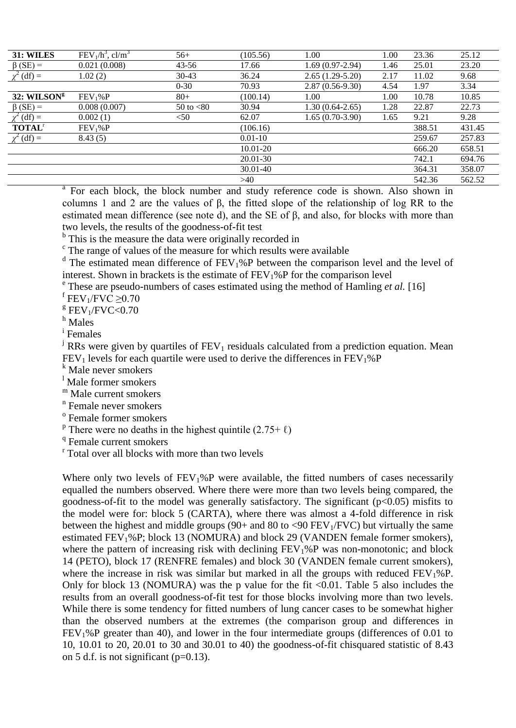| <b>31: WILES</b>          | $FEV1/h3$ , cl/m <sup>3</sup> | $56+$        | (105.56)     | 1.00              | 1.00 | 23.36  | 25.12  |
|---------------------------|-------------------------------|--------------|--------------|-------------------|------|--------|--------|
| $\beta$ (SE) =            | 0.021(0.008)                  | $43 - 56$    | 17.66        | $1.69(0.97-2.94)$ | 1.46 | 25.01  | 23.20  |
| $\chi^2$ (df) =           | 1.02(2)                       | $30-43$      | 36.24        | $2.65(1.29-5.20)$ | 2.17 | 11.02  | 9.68   |
|                           |                               | $0 - 30$     | 70.93        | $2.87(0.56-9.30)$ | 4.54 | 1.97   | 3.34   |
| 32: WILSON <sup>g</sup>   | FEV <sub>1</sub> %P           | $80+$        | (100.14)     | 1.00              | 1.00 | 10.78  | 10.85  |
| $\beta$ (SE) =            | 0.008(0.007)                  | 50 to $< 80$ | 30.94        | $1.30(0.64-2.65)$ | 1.28 | 22.87  | 22.73  |
| $\chi^2$ (df) =           | 0.002(1)                      | $50$         | 62.07        | $1.65(0.70-3.90)$ | 1.65 | 9.21   | 9.28   |
| <b>TOTAL</b> <sup>r</sup> | FEV <sub>1</sub> %P           |              | (106.16)     |                   |      | 388.51 | 431.45 |
| $\chi^2$ (df) =           | 8.43(5)                       |              | $0.01 - 10$  |                   |      | 259.67 | 257.83 |
|                           |                               |              | $10.01 - 20$ |                   |      | 666.20 | 658.51 |
|                           |                               |              | 20.01-30     |                   |      | 742.1  | 694.76 |
|                           |                               |              | 30.01-40     |                   |      | 364.31 | 358.07 |
|                           |                               |              | >40          |                   |      | 542.36 | 562.52 |

<sup>a</sup> For each block, the block number and study reference code is shown. Also shown in columns 1 and 2 are the values of β, the fitted slope of the relationship of log RR to the estimated mean difference (see note d), and the SE of β, and also, for blocks with more than two levels, the results of the goodness-of-fit test

<sup>b</sup> This is the measure the data were originally recorded in

 $\epsilon$  The range of values of the measure for which results were available

<sup>d</sup> The estimated mean difference of FEV<sub>1</sub>%P between the comparison level and the level of interest. Shown in brackets is the estimate of  $FEV<sub>1</sub>%P$  for the comparison level

<sup>e</sup> These are pseudo-numbers of cases estimated using the method of Hamling *et al.* [16]

 $f$  FEV<sub>1</sub>/FVC  $\geq$ 0.70

 $E$ FEV<sub>1</sub>/FVC<0.70

<sup>h</sup> Males

i Females

 $\mu$  RRs were given by quartiles of FEV<sub>1</sub> residuals calculated from a prediction equation. Mean  $FEV<sub>1</sub>$  levels for each quartile were used to derive the differences in  $FEV<sub>1</sub>%P$ 

 $k$  Male never smokers

<sup>1</sup> Male former smokers

<sup>m</sup> Male current smokers

<sup>n</sup> Female never smokers

<sup>o</sup> Female former smokers

<sup>p</sup> There were no deaths in the highest quintile  $(2.75 + \ell)$ 

<sup>q</sup> Female current smokers

<sup>r</sup> Total over all blocks with more than two levels

Where only two levels of  $FEV<sub>1</sub>%P$  were available, the fitted numbers of cases necessarily equalled the numbers observed. Where there were more than two levels being compared, the goodness-of-fit to the model was generally satisfactory. The significant  $(p<0.05)$  misfits to the model were for: block 5 (CARTA), where there was almost a 4-fold difference in risk between the highest and middle groups (90+ and 80 to  $\langle 90 \text{ FEV}_1/\text{FVC}$ ) but virtually the same estimated FEV<sub>1</sub>%P; block 13 (NOMURA) and block 29 (VANDEN female former smokers), where the pattern of increasing risk with declining  $FEV<sub>1</sub>%P$  was non-monotonic; and block 14 (PETO), block 17 (RENFRE females) and block 30 (VANDEN female current smokers), where the increase in risk was similar but marked in all the groups with reduced  $FEV<sub>1</sub>%P$ . Only for block 13 (NOMURA) was the p value for the fit  $\langle 0.01$ . Table 5 also includes the results from an overall goodness-of-fit test for those blocks involving more than two levels. While there is some tendency for fitted numbers of lung cancer cases to be somewhat higher than the observed numbers at the extremes (the comparison group and differences in FEV1%P greater than 40), and lower in the four intermediate groups (differences of 0.01 to 10, 10.01 to 20, 20.01 to 30 and 30.01 to 40) the goodness-of-fit chisquared statistic of 8.43 on 5 d.f. is not significant ( $p=0.13$ ).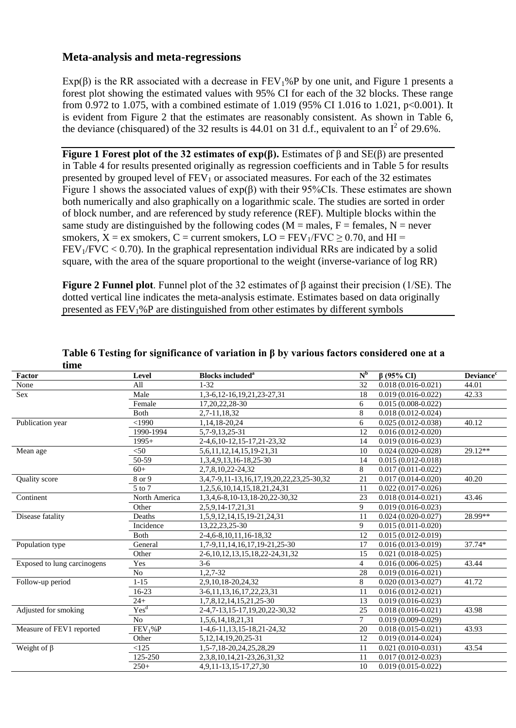### **Meta-analysis and meta-regressions**

Exp( $\beta$ ) is the RR associated with a decrease in FEV<sub>1</sub>%P by one unit, and Figure 1 presents a forest plot showing the estimated values with 95% CI for each of the 32 blocks. These range from 0.972 to 1.075, with a combined estimate of 1.019 (95% CI 1.016 to 1.021,  $p<0.001$ ). It is evident from Figure 2 that the estimates are reasonably consistent. As shown in Table 6, the deviance (chisquared) of the 32 results is 44.01 on 31 d.f., equivalent to an  $I^2$  of 29.6%.

**Figure 1 Forest plot of the 32 estimates of exp(β).** Estimates of β and SE(β) are presented in Table 4 for results presented originally as regression coefficients and in Table 5 for results presented by grouped level of  $FEV<sub>1</sub>$  or associated measures. For each of the 32 estimates Figure 1 shows the associated values of  $exp(\beta)$  with their 95%CIs. These estimates are shown both numerically and also graphically on a logarithmic scale. The studies are sorted in order of block number, and are referenced by study reference (REF). Multiple blocks within the same study are distinguished by the following codes ( $M =$  males,  $F =$  females,  $N =$  never smokers,  $X = ex$  smokers,  $C = current$  smokers,  $LO = FEV<sub>1</sub>/FVC > 0.70$ , and  $HI =$  $FEV<sub>1</sub>/FVC < 0.70$ ). In the graphical representation individual RRs are indicated by a solid square, with the area of the square proportional to the weight (inverse-variance of log RR)

**Figure 2 Funnel plot**. Funnel plot of the 32 estimates of β against their precision (1/SE). The dotted vertical line indicates the meta-analysis estimate. Estimates based on data originally presented as FEV1%P are distinguished from other estimates by different symbols

| time                        |                     |                                          |                |                                  |                              |
|-----------------------------|---------------------|------------------------------------------|----------------|----------------------------------|------------------------------|
| Factor                      | Level               | <b>Blocks included<sup>a</sup></b>       | $N^b$          | $\beta$ (95% CI)                 | <b>Deviance</b> <sup>c</sup> |
| None                        | All                 | $1 - 32$                                 | 32             | $0.018(0.016 - 0.021)$           | 44.01                        |
| Sex                         | Male                | 1,3-6,12-16,19,21,23-27,31               | 18             | $0.019(0.016 - 0.022)$           | 42.33                        |
|                             | Female              | 17, 20, 22, 28 - 30                      | 6              | $0.015(0.008 - 0.022)$           |                              |
|                             | Both                | 2,7-11,18,32                             | 8              | $0.018(0.012 - 0.024)$           |                              |
| Publication year            | <1990               | 1,14,18-20,24                            | 6              | $\overline{0.025}$ (0.012-0.038) | 40.12                        |
|                             | 1990-1994           | 5,7-9,13,25-31                           | 12             | $0.016(0.012 - 0.020)$           |                              |
|                             | $1995+$             | 2-4, 6, 10-12, 15-17, 21-23, 32          | 14             | $0.019(0.016 - 0.023)$           |                              |
| Mean age                    | < 50                | 5, 6, 11, 12, 14, 15, 19-21, 31          | 10             | $0.024(0.020 - 0.028)$           | 29.12**                      |
|                             | 50-59               | 1,3,4,9,13,16-18,25-30                   | 14             | $0.015(0.012 - 0.018)$           |                              |
|                             | $60+$               | 2,7,8,10,22-24,32                        | 8              | $0.017(0.011 - 0.022)$           |                              |
| <b>Ouality</b> score        | 8 or 9              | 3,4,7-9,11-13,16,17,19,20,22,23,25-30,32 | 21             | $0.017(0.014 - 0.020)$           | 40.20                        |
|                             | $5$ to $7$          | 1,2,5,6,10,14,15,18,21,24,31             | 11             | $0.022(0.017-0.026)$             |                              |
| Continent                   | North America       | 1,3,4,6-8,10-13,18-20,22-30,32           | 23             | $0.018(0.014 - 0.021)$           | 43.46                        |
|                             | Other               | 2,5,9,14-17,21,31                        | 9              | $0.019(0.016 - 0.023)$           |                              |
| Disease fatality            | Deaths              | 1,5,9,12,14,15,19-21,24,31               | 11             | $0.024(0.020-0.027)$             | 28.99**                      |
|                             | Incidence           | 13,22,23,25-30                           | 9              | $0.015(0.011 - 0.020)$           |                              |
|                             | Both                | 2-4, 6-8, 10, 11, 16-18, 32              | 12             | $0.015(0.012 - 0.019)$           |                              |
| Population type             | General             | 1,7-9,11,14,16,17,19-21,25-30            | 17             | $0.016(0.013 - 0.019)$           | 37.74*                       |
|                             | Other               | 2-6, 10, 12, 13, 15, 18, 22-24, 31, 32   | 15             | $0.021(0.018-0.025)$             |                              |
| Exposed to lung carcinogens | Yes                 | $3-6$                                    | $\overline{4}$ | $0.016(0.006 - 0.025)$           | 43.44                        |
|                             | N <sub>o</sub>      | 1,2,7-32                                 | 28             | $0.019(0.016 - 0.021)$           |                              |
| Follow-up period            | $1 - 15$            | 2,9,10,18-20,24,32                       | 8              | $0.020(0.013 - 0.027)$           | 41.72                        |
|                             | $16 - 23$           | 3-6, 11, 13, 16, 17, 22, 23, 31          | 11             | $0.016(0.012 - 0.021)$           |                              |
|                             | $24+$               | 1,7,8,12,14,15,21,25-30                  | 13             | $0.019(0.016 - 0.023)$           |                              |
| Adjusted for smoking        | $Yes^d$             | 2-4,7-13,15-17,19,20,22-30,32            | 25             | $0.018(0.016 - 0.021)$           | 43.98                        |
|                             | N <sub>o</sub>      | 1,5,6,14,18,21,31                        | $\tau$         | $0.019(0.009 - 0.029)$           |                              |
| Measure of FEV1 reported    | FEV <sub>1</sub> %P | 1-4, 6-11, 13, 15-18, 21-24, 32          | 20             | $0.018(0.015 - 0.021)$           | 43.93                        |
|                             | Other               | 5, 12, 14, 19, 20, 25 - 31               | 12             | $0.019(0.014 - 0.024)$           |                              |
| Weight of $\beta$           | <125                | 1,5-7,18-20,24,25,28,29                  | 11             | $0.021(0.010 - 0.031)$           | 43.54                        |
|                             | 125-250             | 2, 3, 8, 10, 14, 21 - 23, 26, 31, 32     | 11             | $0.017(0.012 - 0.023)$           |                              |
|                             | $250+$              | 4,9,11-13,15-17,27,30                    | 10             | $0.019(0.015 - 0.022)$           |                              |

### **Table 6 Testing for significance of variation in β by various factors considered one at a**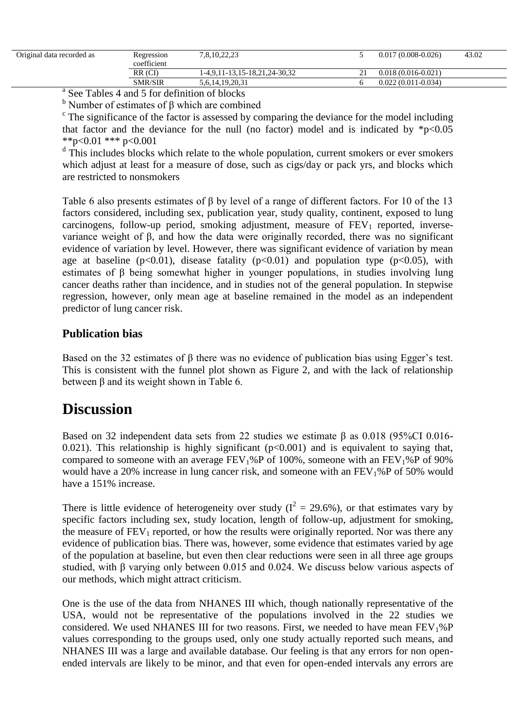| Original data recorded as | Regression<br>coefficient | 7,8,10,22,23                  | $0.017(0.008-0.026)$   | 43.02 |
|---------------------------|---------------------------|-------------------------------|------------------------|-------|
|                           | RR (CI)                   | 1-4,9,11-13,15-18,21,24-30,32 | $0.018(0.016 - 0.021)$ |       |
|                           | <b>SMR/SIR</b>            | 5,6,14,19,20,31               | $0.022(0.011-0.034)$   |       |

<sup>a</sup> See Tables 4 and 5 for definition of blocks

 $<sup>b</sup>$  Number of estimates of β which are combined</sup>

 $\epsilon$  The significance of the factor is assessed by comparing the deviance for the model including that factor and the deviance for the null (no factor) model and is indicated by  $*_{p<0.05}$ \*\*p<0.01 \*\*\* p<0.001

<sup>d</sup> This includes blocks which relate to the whole population, current smokers or ever smokers which adjust at least for a measure of dose, such as cigs/day or pack yrs, and blocks which are restricted to nonsmokers

Table 6 also presents estimates of β by level of a range of different factors. For 10 of the 13 factors considered, including sex, publication year, study quality, continent, exposed to lung carcinogens, follow-up period, smoking adjustment, measure of  $FEV<sub>1</sub>$  reported, inversevariance weight of β, and how the data were originally recorded, there was no significant evidence of variation by level. However, there was significant evidence of variation by mean age at baseline ( $p<0.01$ ), disease fatality ( $p<0.01$ ) and population type ( $p<0.05$ ), with estimates of β being somewhat higher in younger populations, in studies involving lung cancer deaths rather than incidence, and in studies not of the general population. In stepwise regression, however, only mean age at baseline remained in the model as an independent predictor of lung cancer risk.

### **Publication bias**

Based on the 32 estimates of  $\beta$  there was no evidence of publication bias using Egger's test. This is consistent with the funnel plot shown as Figure 2, and with the lack of relationship between β and its weight shown in Table 6.

### **Discussion**

Based on 32 independent data sets from 22 studies we estimate β as 0.018 (95%CI 0.016- 0.021). This relationship is highly significant  $(p<0.001)$  and is equivalent to saying that, compared to someone with an average  $FEV_1\%P$  of 100%, someone with an  $FEV_1\%P$  of 90% would have a 20% increase in lung cancer risk, and someone with an  $FEV<sub>1</sub>%P$  of 50% would have a 151% increase.

There is little evidence of heterogeneity over study ( $I^2 = 29.6\%$ ), or that estimates vary by specific factors including sex, study location, length of follow-up, adjustment for smoking, the measure of  $FEV_1$  reported, or how the results were originally reported. Nor was there any evidence of publication bias. There was, however, some evidence that estimates varied by age of the population at baseline, but even then clear reductions were seen in all three age groups studied, with β varying only between 0.015 and 0.024. We discuss below various aspects of our methods, which might attract criticism.

One is the use of the data from NHANES III which, though nationally representative of the USA, would not be representative of the populations involved in the 22 studies we considered. We used NHANES III for two reasons. First, we needed to have mean  $FEV<sub>1</sub>%P$ values corresponding to the groups used, only one study actually reported such means, and NHANES III was a large and available database. Our feeling is that any errors for non openended intervals are likely to be minor, and that even for open-ended intervals any errors are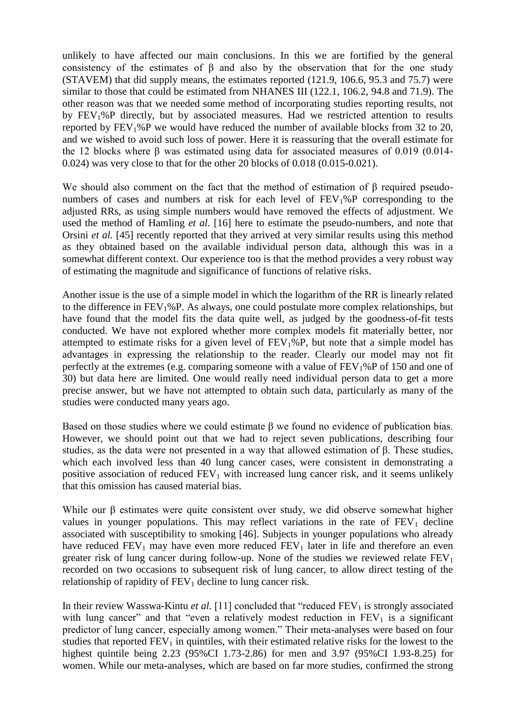unlikely to have affected our main conclusions. In this we are fortified by the general consistency of the estimates of  $\beta$  and also by the observation that for the one study (STAVEM) that did supply means, the estimates reported (121.9, 106.6, 95.3 and 75.7) were similar to those that could be estimated from NHANES III (122.1, 106.2, 94.8 and 71.9). The other reason was that we needed some method of incorporating studies reporting results, not by FEV1%P directly, but by associated measures. Had we restricted attention to results reported by  $FEV<sub>1</sub>%P$  we would have reduced the number of available blocks from 32 to 20, and we wished to avoid such loss of power. Here it is reassuring that the overall estimate for the 12 blocks where β was estimated using data for associated measures of 0.019 (0.014- 0.024) was very close to that for the other 20 blocks of 0.018 (0.015-0.021).

We should also comment on the fact that the method of estimation of β required pseudonumbers of cases and numbers at risk for each level of  $FEV<sub>1</sub>%P$  corresponding to the adjusted RRs, as using simple numbers would have removed the effects of adjustment. We used the method of Hamling *et al.* [16] here to estimate the pseudo-numbers, and note that Orsini *et al.* [45] recently reported that they arrived at very similar results using this method as they obtained based on the available individual person data, although this was in a somewhat different context. Our experience too is that the method provides a very robust way of estimating the magnitude and significance of functions of relative risks.

Another issue is the use of a simple model in which the logarithm of the RR is linearly related to the difference in  $FEV<sub>1</sub>%P$ . As always, one could postulate more complex relationships, but have found that the model fits the data quite well, as judged by the goodness-of-fit tests conducted. We have not explored whether more complex models fit materially better, nor attempted to estimate risks for a given level of  $FEV<sub>1</sub>%P$ , but note that a simple model has advantages in expressing the relationship to the reader. Clearly our model may not fit perfectly at the extremes (e.g. comparing someone with a value of  $FEV<sub>1</sub>%P$  of 150 and one of 30) but data here are limited. One would really need individual person data to get a more precise answer, but we have not attempted to obtain such data, particularly as many of the studies were conducted many years ago.

Based on those studies where we could estimate β we found no evidence of publication bias. However, we should point out that we had to reject seven publications, describing four studies, as the data were not presented in a way that allowed estimation of β. These studies, which each involved less than 40 lung cancer cases, were consistent in demonstrating a positive association of reduced  $FEV_1$  with increased lung cancer risk, and it seems unlikely that this omission has caused material bias.

While our β estimates were quite consistent over study, we did observe somewhat higher values in younger populations. This may reflect variations in the rate of  $FEV<sub>1</sub>$  decline associated with susceptibility to smoking [46]. Subjects in younger populations who already have reduced  $FEV_1$  may have even more reduced  $FEV_1$  later in life and therefore an even greater risk of lung cancer during follow-up. None of the studies we reviewed relate  $FEV<sub>1</sub>$ recorded on two occasions to subsequent risk of lung cancer, to allow direct testing of the relationship of rapidity of  $FEV<sub>1</sub>$  decline to lung cancer risk.

In their review Wasswa-Kintu *et al.* [11] concluded that "reduced  $FEV<sub>1</sub>$  is strongly associated with lung cancer" and that "even a relatively modest reduction in  $FEV<sub>1</sub>$  is a significant predictor of lung cancer, especially among women." Their meta-analyses were based on four studies that reported  $FEV<sub>1</sub>$  in quintiles, with their estimated relative risks for the lowest to the highest quintile being 2.23 (95%CI 1.73-2.86) for men and 3.97 (95%CI 1.93-8.25) for women. While our meta-analyses, which are based on far more studies, confirmed the strong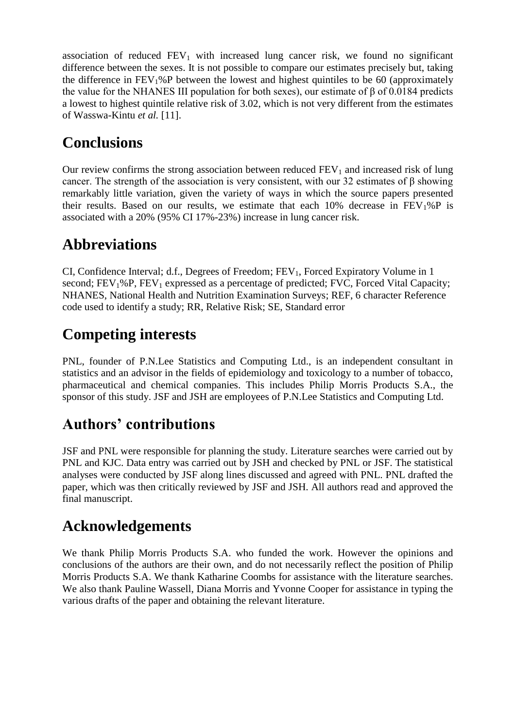association of reduced  $FEV_1$  with increased lung cancer risk, we found no significant difference between the sexes. It is not possible to compare our estimates precisely but, taking the difference in  $FEV<sub>1</sub>%P$  between the lowest and highest quintiles to be 60 (approximately the value for the NHANES III population for both sexes), our estimate of β of 0.0184 predicts a lowest to highest quintile relative risk of 3.02, which is not very different from the estimates of Wasswa-Kintu *et al.* [11].

## **Conclusions**

Our review confirms the strong association between reduced  $FEV<sub>1</sub>$  and increased risk of lung cancer. The strength of the association is very consistent, with our 32 estimates of β showing remarkably little variation, given the variety of ways in which the source papers presented their results. Based on our results, we estimate that each  $10\%$  decrease in  $FEV<sub>1</sub>%P$  is associated with a 20% (95% CI 17%-23%) increase in lung cancer risk.

## **Abbreviations**

CI, Confidence Interval; d.f., Degrees of Freedom;  $FEV_1$ , Forced Expiratory Volume in 1 second;  $FEV<sub>1</sub>%P, FEV<sub>1</sub>$  expressed as a percentage of predicted; FVC, Forced Vital Capacity; NHANES, National Health and Nutrition Examination Surveys; REF, 6 character Reference code used to identify a study; RR, Relative Risk; SE, Standard error

## **Competing interests**

PNL, founder of P.N.Lee Statistics and Computing Ltd., is an independent consultant in statistics and an advisor in the fields of epidemiology and toxicology to a number of tobacco, pharmaceutical and chemical companies. This includes Philip Morris Products S.A., the sponsor of this study. JSF and JSH are employees of P.N.Lee Statistics and Computing Ltd.

## **Authors' contributions**

JSF and PNL were responsible for planning the study. Literature searches were carried out by PNL and KJC. Data entry was carried out by JSH and checked by PNL or JSF. The statistical analyses were conducted by JSF along lines discussed and agreed with PNL. PNL drafted the paper, which was then critically reviewed by JSF and JSH. All authors read and approved the final manuscript.

## **Acknowledgements**

We thank Philip Morris Products S.A. who funded the work. However the opinions and conclusions of the authors are their own, and do not necessarily reflect the position of Philip Morris Products S.A. We thank Katharine Coombs for assistance with the literature searches. We also thank Pauline Wassell, Diana Morris and Yvonne Cooper for assistance in typing the various drafts of the paper and obtaining the relevant literature.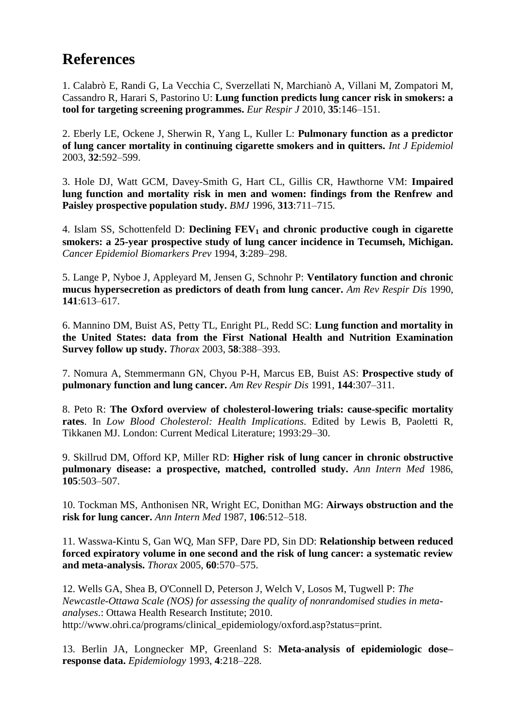## **References**

1. Calabrò E, Randi G, La Vecchia C, Sverzellati N, Marchianò A, Villani M, Zompatori M, Cassandro R, Harari S, Pastorino U: **Lung function predicts lung cancer risk in smokers: a tool for targeting screening programmes.** *Eur Respir J* 2010, **35**:146–151.

2. Eberly LE, Ockene J, Sherwin R, Yang L, Kuller L: **Pulmonary function as a predictor of lung cancer mortality in continuing cigarette smokers and in quitters.** *Int J Epidemiol* 2003, **32**:592–599.

3. Hole DJ, Watt GCM, Davey-Smith G, Hart CL, Gillis CR, Hawthorne VM: **Impaired lung function and mortality risk in men and women: findings from the Renfrew and Paisley prospective population study.** *BMJ* 1996, **313**:711–715.

4. Islam SS, Schottenfeld D: **Declining FEV<sup>1</sup> and chronic productive cough in cigarette smokers: a 25-year prospective study of lung cancer incidence in Tecumseh, Michigan.** *Cancer Epidemiol Biomarkers Prev* 1994, **3**:289–298.

5. Lange P, Nyboe J, Appleyard M, Jensen G, Schnohr P: **Ventilatory function and chronic mucus hypersecretion as predictors of death from lung cancer.** *Am Rev Respir Dis* 1990, **141**:613–617.

6. Mannino DM, Buist AS, Petty TL, Enright PL, Redd SC: **Lung function and mortality in the United States: data from the First National Health and Nutrition Examination Survey follow up study.** *Thorax* 2003, **58**:388–393.

7. Nomura A, Stemmermann GN, Chyou P-H, Marcus EB, Buist AS: **Prospective study of pulmonary function and lung cancer.** *Am Rev Respir Dis* 1991, **144**:307–311.

8. Peto R: **The Oxford overview of cholesterol-lowering trials: cause-specific mortality rates**. In *Low Blood Cholesterol: Health Implications*. Edited by Lewis B, Paoletti R, Tikkanen MJ. London: Current Medical Literature; 1993:29–30.

9. Skillrud DM, Offord KP, Miller RD: **Higher risk of lung cancer in chronic obstructive pulmonary disease: a prospective, matched, controlled study.** *Ann Intern Med* 1986, **105**:503–507.

10. Tockman MS, Anthonisen NR, Wright EC, Donithan MG: **Airways obstruction and the risk for lung cancer.** *Ann Intern Med* 1987, **106**:512–518.

11. Wasswa-Kintu S, Gan WQ, Man SFP, Dare PD, Sin DD: **Relationship between reduced forced expiratory volume in one second and the risk of lung cancer: a systematic review and meta-analysis.** *Thorax* 2005, **60**:570–575.

12. Wells GA, Shea B, O'Connell D, Peterson J, Welch V, Losos M, Tugwell P: *The Newcastle-Ottawa Scale (NOS) for assessing the quality of nonrandomised studies in metaanalyses*.: Ottawa Health Research Institute; 2010. http://www.ohri.ca/programs/clinical\_epidemiology/oxford.asp?status=print.

13. Berlin JA, Longnecker MP, Greenland S: **Meta-analysis of epidemiologic dose– response data.** *Epidemiology* 1993, **4**:218–228.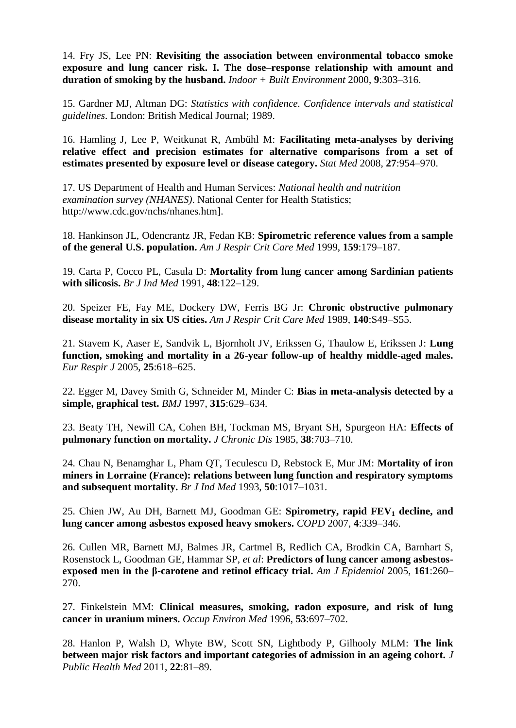14. Fry JS, Lee PN: **Revisiting the association between environmental tobacco smoke exposure and lung cancer risk. I. The dose–response relationship with amount and duration of smoking by the husband.** *Indoor + Built Environment* 2000, **9**:303–316.

15. Gardner MJ, Altman DG: *Statistics with confidence. Confidence intervals and statistical guidelines*. London: British Medical Journal; 1989.

16. Hamling J, Lee P, Weitkunat R, Ambühl M: **Facilitating meta-analyses by deriving relative effect and precision estimates for alternative comparisons from a set of estimates presented by exposure level or disease category.** *Stat Med* 2008, **27**:954–970.

17. US Department of Health and Human Services: *National health and nutrition examination survey (NHANES)*. National Center for Health Statistics; http://www.cdc.gov/nchs/nhanes.htm].

18. Hankinson JL, Odencrantz JR, Fedan KB: **Spirometric reference values from a sample of the general U.S. population.** *Am J Respir Crit Care Med* 1999, **159**:179–187.

19. Carta P, Cocco PL, Casula D: **Mortality from lung cancer among Sardinian patients with silicosis.** *Br J Ind Med* 1991, **48**:122–129.

20. Speizer FE, Fay ME, Dockery DW, Ferris BG Jr: **Chronic obstructive pulmonary disease mortality in six US cities.** *Am J Respir Crit Care Med* 1989, **140**:S49–S55.

21. Stavem K, Aaser E, Sandvik L, Bjornholt JV, Erikssen G, Thaulow E, Erikssen J: **Lung function, smoking and mortality in a 26-year follow-up of healthy middle-aged males.** *Eur Respir J* 2005, **25**:618–625.

22. Egger M, Davey Smith G, Schneider M, Minder C: **Bias in meta-analysis detected by a simple, graphical test.** *BMJ* 1997, **315**:629–634.

23. Beaty TH, Newill CA, Cohen BH, Tockman MS, Bryant SH, Spurgeon HA: **Effects of pulmonary function on mortality.** *J Chronic Dis* 1985, **38**:703–710.

24. Chau N, Benamghar L, Pham QT, Teculescu D, Rebstock E, Mur JM: **Mortality of iron miners in Lorraine (France): relations between lung function and respiratory symptoms and subsequent mortality.** *Br J Ind Med* 1993, **50**:1017–1031.

25. Chien JW, Au DH, Barnett MJ, Goodman GE: **Spirometry, rapid FEV<sup>1</sup> decline, and lung cancer among asbestos exposed heavy smokers.** *COPD* 2007, **4**:339–346.

26. Cullen MR, Barnett MJ, Balmes JR, Cartmel B, Redlich CA, Brodkin CA, Barnhart S, Rosenstock L, Goodman GE, Hammar SP, *et al*: **Predictors of lung cancer among asbestosexposed men in the β-carotene and retinol efficacy trial.** *Am J Epidemiol* 2005, **161**:260– 270.

27. Finkelstein MM: **Clinical measures, smoking, radon exposure, and risk of lung cancer in uranium miners.** *Occup Environ Med* 1996, **53**:697–702.

28. Hanlon P, Walsh D, Whyte BW, Scott SN, Lightbody P, Gilhooly MLM: **The link between major risk factors and important categories of admission in an ageing cohort.** *J Public Health Med* 2011, **22**:81–89.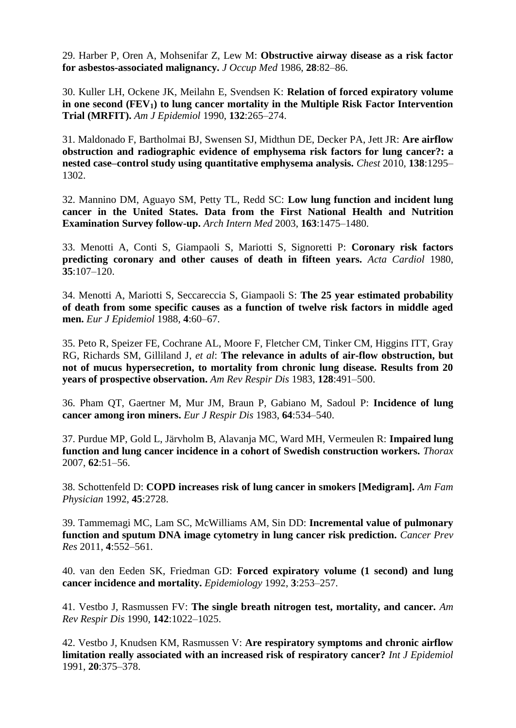29. Harber P, Oren A, Mohsenifar Z, Lew M: **Obstructive airway disease as a risk factor for asbestos-associated malignancy.** *J Occup Med* 1986, **28**:82–86.

30. Kuller LH, Ockene JK, Meilahn E, Svendsen K: **Relation of forced expiratory volume in one second (FEV1) to lung cancer mortality in the Multiple Risk Factor Intervention Trial (MRFIT).** *Am J Epidemiol* 1990, **132**:265–274.

31. Maldonado F, Bartholmai BJ, Swensen SJ, Midthun DE, Decker PA, Jett JR: **Are airflow obstruction and radiographic evidence of emphysema risk factors for lung cancer?: a nested case–control study using quantitative emphysema analysis.** *Chest* 2010, **138**:1295– 1302.

32. Mannino DM, Aguayo SM, Petty TL, Redd SC: **Low lung function and incident lung cancer in the United States. Data from the First National Health and Nutrition Examination Survey follow-up.** *Arch Intern Med* 2003, **163**:1475–1480.

33. Menotti A, Conti S, Giampaoli S, Mariotti S, Signoretti P: **Coronary risk factors predicting coronary and other causes of death in fifteen years.** *Acta Cardiol* 1980, **35**:107–120.

34. Menotti A, Mariotti S, Seccareccia S, Giampaoli S: **The 25 year estimated probability of death from some specific causes as a function of twelve risk factors in middle aged men.** *Eur J Epidemiol* 1988, **4**:60–67.

35. Peto R, Speizer FE, Cochrane AL, Moore F, Fletcher CM, Tinker CM, Higgins ITT, Gray RG, Richards SM, Gilliland J, *et al*: **The relevance in adults of air-flow obstruction, but not of mucus hypersecretion, to mortality from chronic lung disease. Results from 20 years of prospective observation.** *Am Rev Respir Dis* 1983, **128**:491–500.

36. Pham QT, Gaertner M, Mur JM, Braun P, Gabiano M, Sadoul P: **Incidence of lung cancer among iron miners.** *Eur J Respir Dis* 1983, **64**:534–540.

37. Purdue MP, Gold L, Järvholm B, Alavanja MC, Ward MH, Vermeulen R: **Impaired lung function and lung cancer incidence in a cohort of Swedish construction workers.** *Thorax* 2007, **62**:51–56.

38. Schottenfeld D: **COPD increases risk of lung cancer in smokers [Medigram].** *Am Fam Physician* 1992, **45**:2728.

39. Tammemagi MC, Lam SC, McWilliams AM, Sin DD: **Incremental value of pulmonary function and sputum DNA image cytometry in lung cancer risk prediction.** *Cancer Prev Res* 2011, **4**:552–561.

40. van den Eeden SK, Friedman GD: **Forced expiratory volume (1 second) and lung cancer incidence and mortality.** *Epidemiology* 1992, **3**:253–257.

41. Vestbo J, Rasmussen FV: **The single breath nitrogen test, mortality, and cancer.** *Am Rev Respir Dis* 1990, **142**:1022–1025.

42. Vestbo J, Knudsen KM, Rasmussen V: **Are respiratory symptoms and chronic airflow limitation really associated with an increased risk of respiratory cancer?** *Int J Epidemiol* 1991, **20**:375–378.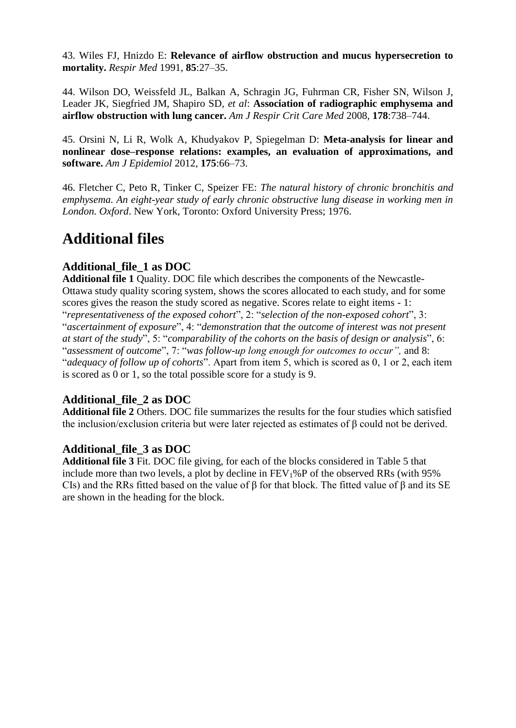43. Wiles FJ, Hnizdo E: **Relevance of airflow obstruction and mucus hypersecretion to mortality.** *Respir Med* 1991, **85**:27–35.

44. Wilson DO, Weissfeld JL, Balkan A, Schragin JG, Fuhrman CR, Fisher SN, Wilson J, Leader JK, Siegfried JM, Shapiro SD, *et al*: **Association of radiographic emphysema and airflow obstruction with lung cancer.** *Am J Respir Crit Care Med* 2008, **178**:738–744.

45. Orsini N, Li R, Wolk A, Khudyakov P, Spiegelman D: **Meta-analysis for linear and nonlinear dose–response relations: examples, an evaluation of approximations, and software.** *Am J Epidemiol* 2012, **175**:66–73.

46. Fletcher C, Peto R, Tinker C, Speizer FE: *The natural history of chronic bronchitis and emphysema. An eight-year study of early chronic obstructive lung disease in working men in London. Oxford*. New York, Toronto: Oxford University Press; 1976.

## **Additional files**

### **Additional\_file\_1 as DOC**

**Additional file 1** Quality. DOC file which describes the components of the Newcastle-Ottawa study quality scoring system, shows the scores allocated to each study, and for some scores gives the reason the study scored as negative. Scores relate to eight items - 1: "*representativeness of the exposed cohort*", 2: "*selection of the non-exposed cohort*", 3: "*ascertainment of exposure*", 4: "*demonstration that the outcome of interest was not present at start of the study*", 5: "*comparability of the cohorts on the basis of design or analysis*", 6: "*assessment of outcome*", 7: "*was follow-up long enough for outcomes to occur",* and 8: "*adequacy of follow up of cohorts*". Apart from item 5, which is scored as 0, 1 or 2, each item is scored as 0 or 1, so the total possible score for a study is 9.

### **Additional\_file\_2 as DOC**

**Additional file 2** Others. DOC file summarizes the results for the four studies which satisfied the inclusion/exclusion criteria but were later rejected as estimates of β could not be derived.

### **Additional\_file\_3 as DOC**

**Additional file 3** Fit. DOC file giving, for each of the blocks considered in Table 5 that include more than two levels, a plot by decline in  $FEV<sub>1</sub>%P$  of the observed RRs (with 95% CIs) and the RRs fitted based on the value of  $\beta$  for that block. The fitted value of  $\beta$  and its SE are shown in the heading for the block.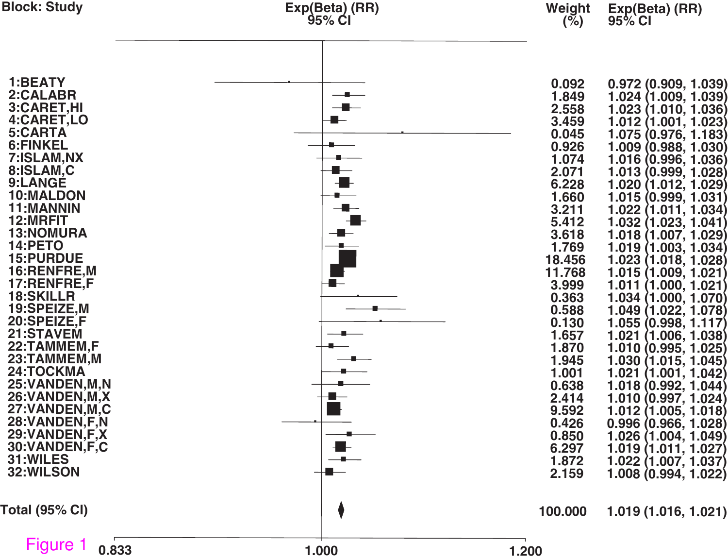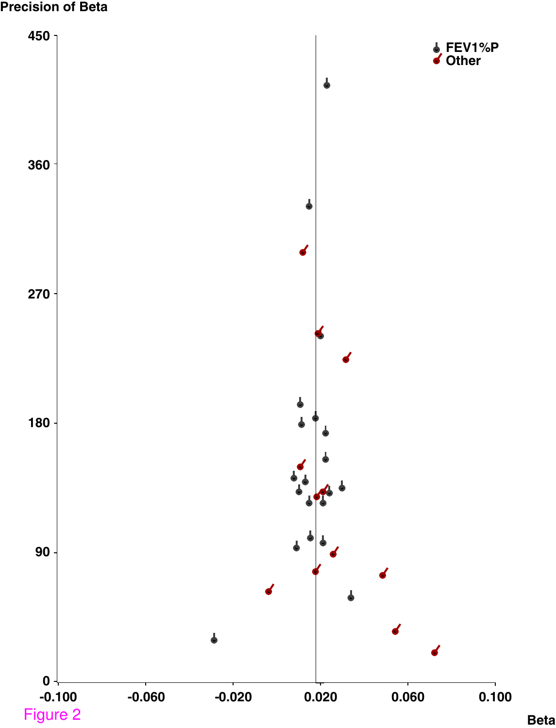#### **Precision of Beta**



**Beta**